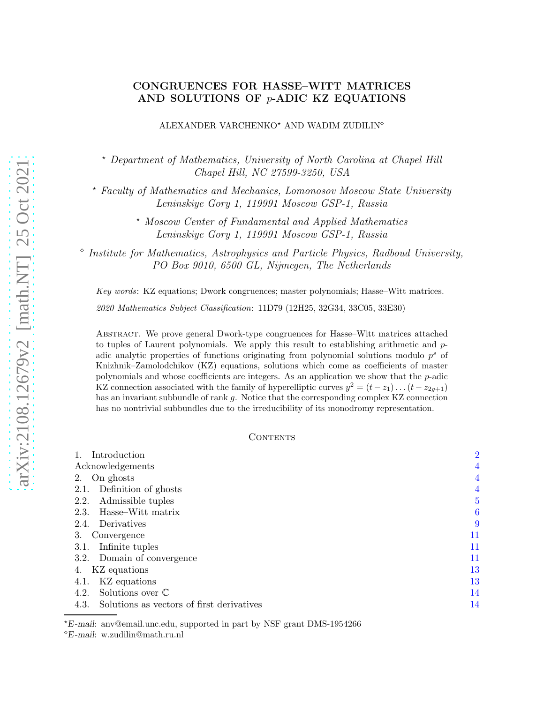# CONGRUENCES FOR HASSE–WITT MATRICES AND SOLUTIONS OF  $p$ -ADIC KZ EQUATIONS

ALEXANDER VARCHENKO<sup>★</sup> AND WADIM ZUDILIN<sup>◇</sup>

<sup>⋆</sup> Department of Mathematics, University of North Carolina at Chapel Hill Chapel Hill, NC 27599-3250, USA

<sup>⋆</sup> Faculty of Mathematics and Mechanics, Lomonosov Moscow State University Leninskiye Gory 1, 119991 Moscow GSP-1, Russia

> <sup>⋆</sup> Moscow Center of Fundamental and Applied Mathematics Leninskiye Gory 1, 119991 Moscow GSP-1, Russia

⋄ Institute for Mathematics, Astrophysics and Particle Physics, Radboud University, PO Box 9010, 6500 GL, Nijmegen, The Netherlands

Key words: KZ equations; Dwork congruences; master polynomials; Hasse–Witt matrices. 2020 Mathematics Subject Classification: 11D79 (12H25, 32G34, 33C05, 33E30)

Abstract. We prove general Dwork-type congruences for Hasse–Witt matrices attached to tuples of Laurent polynomials. We apply this result to establishing arithmetic and padic analytic properties of functions originating from polynomial solutions modulo  $p<sup>s</sup>$  of Knizhnik–Zamolodchikov (KZ) equations, solutions which come as coefficients of master polynomials and whose coefficients are integers. As an application we show that the p-adic KZ connection associated with the family of hyperelliptic curves  $y^2 = (t - z_1) \dots (t - z_{2g+1})$ has an invariant subbundle of rank g. Notice that the corresponding complex KZ connection has no nontrivial subbundles due to the irreducibility of its monodromy representation.

### **CONTENTS**

| Introduction                                      | $\overline{2}$ |
|---------------------------------------------------|----------------|
| Acknowledgements                                  | $\overline{4}$ |
| On ghosts<br>2.                                   | 4              |
| Definition of ghosts<br>2.1.                      | 4              |
| Admissible tuples<br>2.2.                         | $\overline{5}$ |
| Hasse–Witt matrix<br>2.3.                         | 6              |
| Derivatives<br>2.4.                               | 9              |
| З.<br>Convergence                                 | 11             |
| Infinite tuples<br>3.1.                           | 11             |
| 3.2. Domain of convergence                        | 11             |
| KZ equations<br>4.                                | 13             |
| KZ equations<br>4.1.                              | 13             |
| Solutions over $\mathbb C$<br>4.2.                | 14             |
| Solutions as vectors of first derivatives<br>4.3. | 14             |
|                                                   |                |

<sup>⋆</sup>E -mail: anv@email.unc.edu, supported in part by NSF grant DMS-1954266

<sup>⋄</sup>E -mail: w.zudilin@math.ru.nl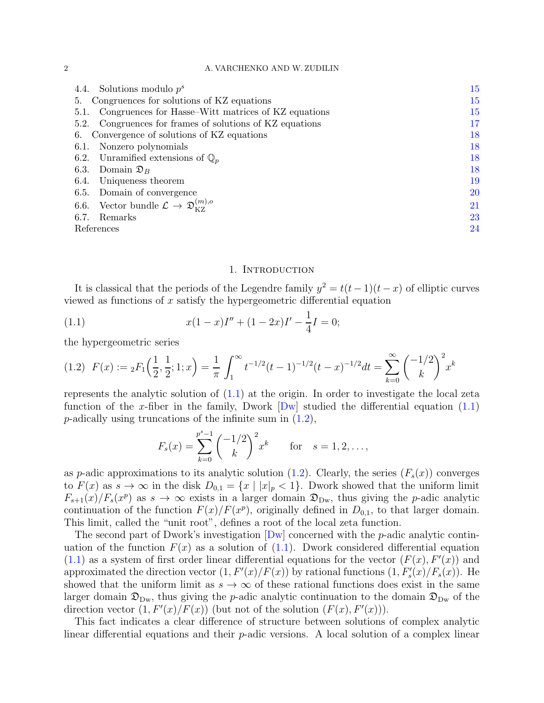### 2 A. VARCHENKO AND W. ZUDILIN

| 4.4. Solutions modulo $p^s$                                                  | 15     |
|------------------------------------------------------------------------------|--------|
| Congruences for solutions of KZ equations<br>5.                              | $15\,$ |
| Congruences for Hasse–Witt matrices of KZ equations<br>5.1.                  | 15     |
| 5.2. Congruences for frames of solutions of KZ equations                     | 17     |
| 6. Convergence of solutions of KZ equations                                  | 18     |
| Nonzero polynomials<br>6.1.                                                  | 18     |
| 6.2. Unramified extensions of $\mathbb{Q}_n$                                 | 18     |
| 6.3.<br>Domain $\mathfrak{D}_B$                                              | 18     |
| Uniqueness theorem<br>6.4.                                                   | $19\,$ |
| 6.5. Domain of convergence                                                   | $20\,$ |
| 6.6. Vector bundle $\mathcal{L} \rightarrow \mathfrak{D}_{\kappa z}^{(m),o}$ | 21     |
| 6.7.<br>Remarks                                                              | 23     |
| References                                                                   | 24     |

## <span id="page-1-1"></span>1. INTRODUCTION

<span id="page-1-0"></span>It is classical that the periods of the Legendre family  $y^2 = t(t-1)(t-x)$  of elliptic curves viewed as functions of  $x$  satisfy the hypergeometric differential equation

(1.1) 
$$
x(1-x)I'' + (1-2x)I' - \frac{1}{4}I = 0;
$$

the hypergeometric series

<span id="page-1-2"></span>
$$
(1.2) \ \ F(x) := {}_2F_1\left(\frac{1}{2}, \frac{1}{2}; 1; x\right) = \frac{1}{\pi} \int_1^{\infty} t^{-1/2} (t-1)^{-1/2} (t-x)^{-1/2} dt = \sum_{k=0}^{\infty} {\binom{-1/2}{k}}^2 x^k
$$

represents the analytic solution of [\(1.1\)](#page-1-1) at the origin. In order to investigate the local zeta function of the x-fiber in the family, Dwork  $[Dw]$  studied the differential equation  $(1.1)$ *p*-adically using truncations of the infinite sum in  $(1.2)$ ,

$$
F_s(x) = \sum_{k=0}^{p^s-1} {\binom{-1/2}{k}}^2 x^k \quad \text{for} \quad s = 1, 2, \dots,
$$

as p-adic approximations to its analytic solution [\(1.2\)](#page-1-2). Clearly, the series  $(F_s(x))$  converges to  $F(x)$  as  $s \to \infty$  in the disk  $D_{0,1} = \{x \mid |x|_p < 1\}$ . Dwork showed that the uniform limit  $F_{s+1}(x)/F_s(x^p)$  as  $s \to \infty$  exists in a larger domain  $\mathfrak{D}_{\mathrm{Dw}}$ , thus giving the *p*-adic analytic continuation of the function  $F(x)/F(x^p)$ , originally defined in  $D_{0,1}$ , to that larger domain. This limit, called the "unit root", defines a root of the local zeta function.

The second part of Dwork's investigation  $[Dw]$  concerned with the *p*-adic analytic continuation of the function  $F(x)$  as a solution of  $(1.1)$ . Dwork considered differential equation  $(1.1)$  as a system of first order linear differential equations for the vector  $(F(x), F'(x))$  and approximated the direction vector  $(1, F'(x)/F(x))$  by rational functions  $(1, F'_s(x)/F_s(x))$ . He showed that the uniform limit as  $s \to \infty$  of these rational functions does exist in the same larger domain  $\mathfrak{D}_{\mathrm{Dw}}$ , thus giving the *p*-adic analytic continuation to the domain  $\mathfrak{D}_{\mathrm{Dw}}$  of the direction vector  $(1, F'(x)/F(x))$  (but not of the solution  $(F(x), F'(x))$ ).

This fact indicates a clear difference of structure between solutions of complex analytic linear differential equations and their  $p$ -adic versions. A local solution of a complex linear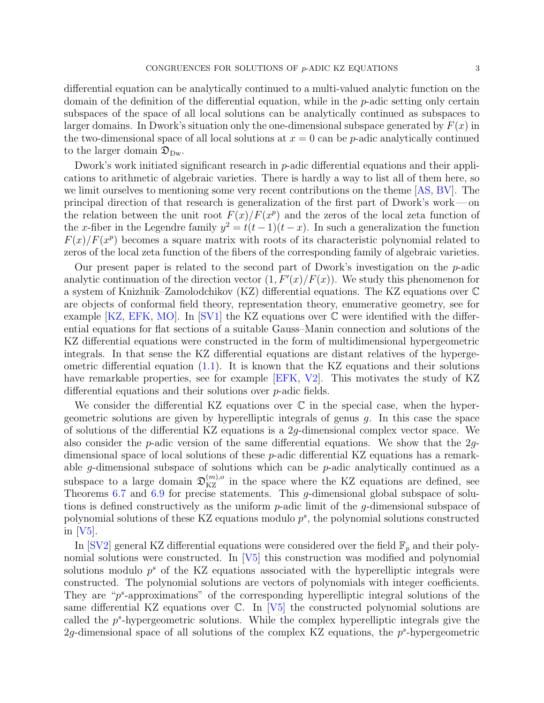differential equation can be analytically continued to a multi-valued analytic function on the domain of the definition of the differential equation, while in the p-adic setting only certain subspaces of the space of all local solutions can be analytically continued as subspaces to larger domains. In Dwork's situation only the one-dimensional subspace generated by  $F(x)$  in the two-dimensional space of all local solutions at  $x = 0$  can be p-adic analytically continued to the larger domain  $\mathfrak{D}_{\mathrm{Dw}}$ .

Dwork's work initiated significant research in p-adic differential equations and their applications to arithmetic of algebraic varieties. There is hardly a way to list all of them here, so we limit ourselves to mentioning some very recent contributions on the theme [\[AS,](#page-23-2) [BV\]](#page-23-3). The principal direction of that research is generalization of the first part of Dwork's work— on the relation between the unit root  $F(x)/F(x^p)$  and the zeros of the local zeta function of the x-fiber in the Legendre family  $y^2 = t(t-1)(t-x)$ . In such a generalization the function  $F(x)/F(x^p)$  becomes a square matrix with roots of its characteristic polynomial related to zeros of the local zeta function of the fibers of the corresponding family of algebraic varieties.

Our present paper is related to the second part of Dwork's investigation on the  $p$ -adic analytic continuation of the direction vector  $(1, F'(x)/F(x))$ . We study this phenomenon for a system of Knizhnik–Zamolodchikov (KZ) differential equations. The KZ equations over C are objects of conformal field theory, representation theory, enumerative geometry, see for example [\[KZ,](#page-23-4) [EFK,](#page-23-5) [MO\]](#page-23-6). In [\[SV1\]](#page-23-7) the KZ equations over  $\mathbb C$  were identified with the differential equations for flat sections of a suitable Gauss–Manin connection and solutions of the KZ differential equations were constructed in the form of multidimensional hypergeometric integrals. In that sense the KZ differential equations are distant relatives of the hypergeometric differential equation  $(1.1)$ . It is known that the KZ equations and their solutions have remarkable properties, see for example [\[EFK,](#page-23-5) [V2\]](#page-23-8). This motivates the study of KZ differential equations and their solutions over p-adic fields.

We consider the differential KZ equations over  $\mathbb C$  in the special case, when the hypergeometric solutions are given by hyperelliptic integrals of genus g. In this case the space of solutions of the differential KZ equations is a 2g-dimensional complex vector space. We also consider the p-adic version of the same differential equations. We show that the 2gdimensional space of local solutions of these p-adic differential KZ equations has a remarkable g-dimensional subspace of solutions which can be p-adic analytically continued as a subspace to a large domain  $\mathfrak{D}_{KZ}^{(m),o}$  in the space where the KZ equations are defined, see Theorems [6.7](#page-21-0) and [6.9](#page-22-1) for precise statements. This g-dimensional global subspace of solutions is defined constructively as the uniform p-adic limit of the g-dimensional subspace of polynomial solutions of these KZ equations modulo  $p^s$ , the polynomial solutions constructed in [\[V5\]](#page-24-0).

In [\[SV2\]](#page-23-9) general KZ differential equations were considered over the field  $\mathbb{F}_p$  and their polynomial solutions were constructed. In  $[V5]$  this construction was modified and polynomial solutions modulo  $p^s$  of the KZ equations associated with the hyperelliptic integrals were constructed. The polynomial solutions are vectors of polynomials with integer coefficients. They are " $p^s$ -approximations" of the corresponding hyperelliptic integral solutions of the same differential KZ equations over  $\mathbb{C}$ . In [\[V5\]](#page-24-0) the constructed polynomial solutions are called the  $p^s$ -hypergeometric solutions. While the complex hyperelliptic integrals give the 2g-dimensional space of all solutions of the complex KZ equations, the  $p^s$ -hypergeometric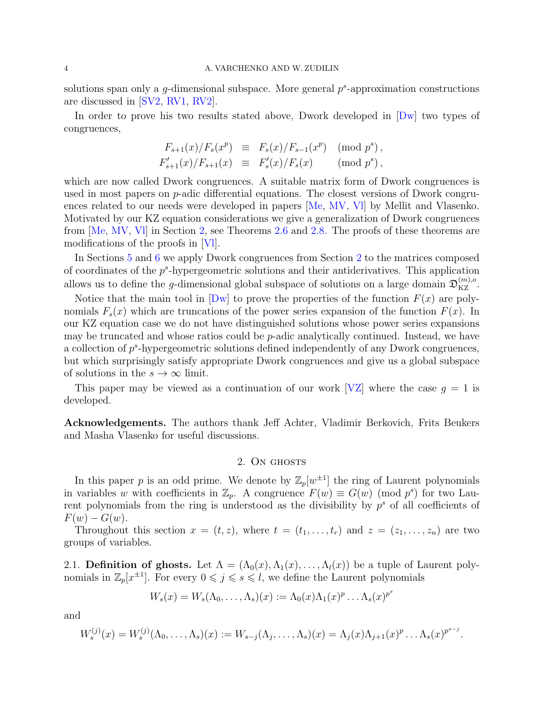### 4 A. VARCHENKO AND W. ZUDILIN

solutions span only a  $g$ -dimensional subspace. More general  $p^s$ -approximation constructions are discussed in [\[SV2,](#page-23-9) [RV1,](#page-23-10) [RV2\]](#page-23-11).

In order to prove his two results stated above, Dwork developed in [\[Dw\]](#page-23-1) two types of congruences,

$$
F_{s+1}(x)/F_s(x^p) \equiv F_s(x)/F_{s-1}(x^p) \pmod{p^s},
$$
  

$$
F'_{s+1}(x)/F_{s+1}(x) \equiv F'_{s}(x)/F_s(x) \pmod{p^s},
$$

which are now called Dwork congruences. A suitable matrix form of Dwork congruences is used in most papers on  $p$ -adic differential equations. The closest versions of Dwork congruences related to our needs were developed in papers [\[Me,](#page-23-12) [MV,](#page-23-13) [Vl\]](#page-24-1) by Mellit and Vlasenko. Motivated by our KZ equation considerations we give a generalization of Dwork congruences from [\[Me,](#page-23-12) [MV,](#page-23-13) [Vl\]](#page-24-1) in Section [2,](#page-3-1) see Theorems [2.6](#page-6-0) and [2.8.](#page-8-1) The proofs of these theorems are modifications of the proofs in [\[Vl\]](#page-24-1).

In Sections [5](#page-14-1) and [6](#page-17-0) we apply Dwork congruences from Section [2](#page-3-1) to the matrices composed of coordinates of the  $p^s$ -hypergeometric solutions and their antiderivatives. This application allows us to define the g-dimensional global subspace of solutions on a large domain  $\mathfrak{D}_{\mathrm{KZ}}^{(m),o}$ .

Notice that the main tool in  $\lfloor Dw \rfloor$  to prove the properties of the function  $F(x)$  are polynomials  $F_s(x)$  which are truncations of the power series expansion of the function  $F(x)$ . In our KZ equation case we do not have distinguished solutions whose power series expansions may be truncated and whose ratios could be p-adic analytically continued. Instead, we have a collection of  $p^s$ -hypergeometric solutions defined independently of any Dwork congruences, but which surprisingly satisfy appropriate Dwork congruences and give us a global subspace of solutions in the  $s \to \infty$  limit.

This paper may be viewed as a continuation of our work [\[VZ\]](#page-24-2) where the case  $g = 1$  is developed.

<span id="page-3-1"></span><span id="page-3-0"></span>Acknowledgements. The authors thank Jeff Achter, Vladimir Berkovich, Frits Beukers and Masha Vlasenko for useful discussions.

### 2. ON GHOSTS

In this paper p is an odd prime. We denote by  $\mathbb{Z}_p[w^{\pm 1}]$  the ring of Laurent polynomials in variables w with coefficients in  $\mathbb{Z}_p$ . A congruence  $F(w) \equiv G(w) \pmod{p^s}$  for two Laurent polynomials from the ring is understood as the divisibility by  $p<sup>s</sup>$  of all coefficients of  $F(w) - G(w)$ .

Throughout this section  $x = (t, z)$ , where  $t = (t_1, \ldots, t_r)$  and  $z = (z_1, \ldots, z_n)$  are two groups of variables.

<span id="page-3-2"></span>2.1. Definition of ghosts. Let  $\Lambda = (\Lambda_0(x), \Lambda_1(x), \ldots, \Lambda_l(x))$  be a tuple of Laurent polynomials in  $\mathbb{Z}_p[x^{\pm 1}]$ . For every  $0 \leqslant j \leqslant s \leqslant l$ , we define the Laurent polynomials

$$
W_s(x) = W_s(\Lambda_0, \dots, \Lambda_s)(x) := \Lambda_0(x)\Lambda_1(x)^p \dots \Lambda_s(x)^{p^s}
$$

and

$$
W_s^{(j)}(x) = W_s^{(j)}(\Lambda_0, \ldots, \Lambda_s)(x) := W_{s-j}(\Lambda_j, \ldots, \Lambda_s)(x) = \Lambda_j(x)\Lambda_{j+1}(x)^p \ldots \Lambda_s(x)^{p^{s-j}}.
$$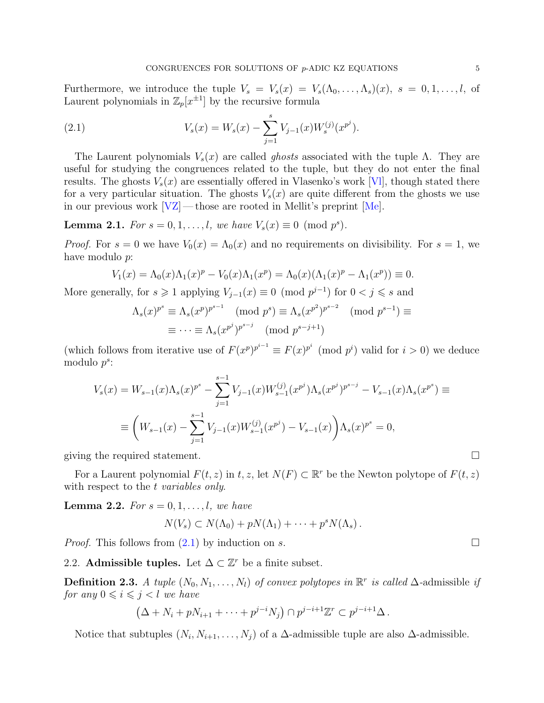Furthermore, we introduce the tuple  $V_s = V_s(x) = V_s(\Lambda_0, \ldots, \Lambda_s)(x)$ ,  $s = 0, 1, \ldots, l$ , of Laurent polynomials in  $\mathbb{Z}_p[x^{\pm 1}]$  by the recursive formula

<span id="page-4-1"></span>(2.1) 
$$
V_s(x) = W_s(x) - \sum_{j=1}^s V_{j-1}(x) W_s^{(j)}(x^{p^j}).
$$

The Laurent polynomials  $V_s(x)$  are called *ghosts* associated with the tuple Λ. They are useful for studying the congruences related to the tuple, but they do not enter the final results. The ghosts  $V_s(x)$  are essentially offered in Vlasenko's work [VI], though stated there for a very particular situation. The ghosts  $V_s(x)$  are quite different from the ghosts we use in our previous work  $|VZ|$ — those are rooted in Mellit's preprint  $[Me]$ .

<span id="page-4-2"></span>**Lemma 2.1.** For  $s = 0, 1, \ldots, l$ , we have  $V_s(x) \equiv 0 \pmod{p^s}$ .

*Proof.* For  $s = 0$  we have  $V_0(x) = \Lambda_0(x)$  and no requirements on divisibility. For  $s = 1$ , we have modulo p:

$$
V_1(x) = \Lambda_0(x)\Lambda_1(x)^p - V_0(x)\Lambda_1(x^p) = \Lambda_0(x)(\Lambda_1(x)^p - \Lambda_1(x^p)) \equiv 0.
$$

More generally, for  $s \geq 1$  applying  $V_{j-1}(x) \equiv 0 \pmod{p^{j-1}}$  for  $0 < j \leq s$  and

$$
\Lambda_s(x)^{p^s} \equiv \Lambda_s(x^p)^{p^{s-1}} \pmod{p^s} \equiv \Lambda_s(x^{p^2})^{p^{s-2}} \pmod{p^{s-1}} \equiv \cdots \equiv \Lambda_s(x^{p^j})^{p^{s-j}} \pmod{p^{s-j+1}}
$$

(which follows from iterative use of  $F(x^p)^{p^{i-1}} \equiv F(x)^{p^i} \pmod{p^i}$  valid for  $i > 0$ ) we deduce modulo  $p^s$ :

$$
V_s(x) = W_{s-1}(x)\Lambda_s(x)^{p^s} - \sum_{j=1}^{s-1} V_{j-1}(x)W_{s-1}^{(j)}(x^{p^j})\Lambda_s(x^{p^j})^{p^{s-j}} - V_{s-1}(x)\Lambda_s(x^{p^s}) \equiv
$$
  

$$
\equiv \left(W_{s-1}(x) - \sum_{j=1}^{s-1} V_{j-1}(x)W_{s-1}^{(j)}(x^{p^j}) - V_{s-1}(x)\right)\Lambda_s(x)^{p^s} = 0,
$$

giving the required statement.

For a Laurent polynomial  $F(t, z)$  in  $t, z$ , let  $N(F) \subset \mathbb{R}^r$  be the Newton polytope of  $F(t, z)$ with respect to the t variables only.

<span id="page-4-3"></span>**Lemma 2.2.** For  $s = 0, 1, \ldots, l$ , we have

$$
N(V_s) \subset N(\Lambda_0) + pN(\Lambda_1) + \cdots + p^s N(\Lambda_s).
$$

<span id="page-4-0"></span>*Proof.* This follows from  $(2.1)$  by induction on s.

2.2. Admissible tuples. Let  $\Delta \subset \mathbb{Z}^r$  be a finite subset.

<span id="page-4-4"></span>**Definition 2.3.** A tuple  $(N_0, N_1, \ldots, N_l)$  of convex polytopes in  $\mathbb{R}^r$  is called  $\Delta$ -admissible if for any  $0 \leq i \leq j < l$  we have

$$
(\Delta+N_i+pN_{i+1}+\cdots+p^{j-i}N_j)\cap p^{j-i+1}\mathbb{Z}^r\subset p^{j-i+1}\Delta.
$$

Notice that subtuples  $(N_i, N_{i+1}, \ldots, N_j)$  of a  $\Delta$ -admissible tuple are also  $\Delta$ -admissible.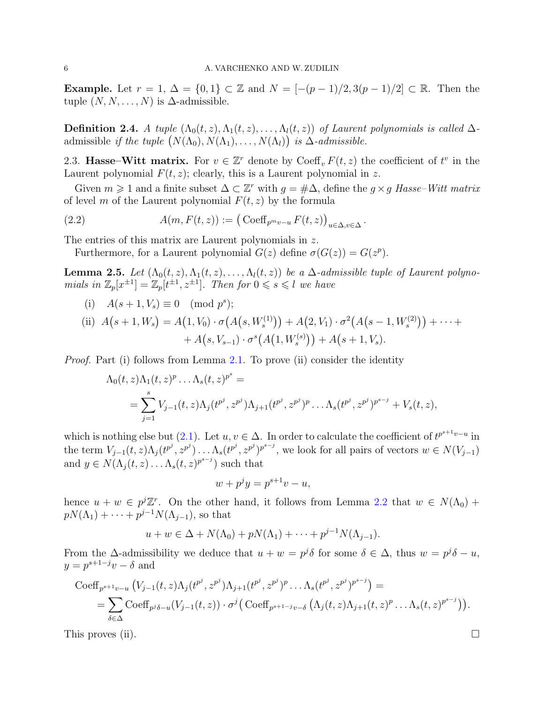**Example.** Let  $r = 1$ ,  $\Delta = \{0, 1\} \subset \mathbb{Z}$  and  $N = \frac{-\frac{p-1}{2}, 3\frac{p-1}{2} \subset \mathbb{R}$ . Then the tuple  $(N, N, \ldots, N)$  is  $\Delta$ -admissible.

<span id="page-5-2"></span>**Definition 2.4.** A tuple  $(\Lambda_0(t, z), \Lambda_1(t, z), \ldots, \Lambda_l(t, z))$  of Laurent polynomials is called  $\Delta$ admissible if the tuple  $(N(\Lambda_0), N(\Lambda_1), \ldots, N(\Lambda_l))$  is  $\Delta$ -admissible.

<span id="page-5-0"></span>2.3. Hasse–Witt matrix. For  $v \in \mathbb{Z}^r$  denote by  $\text{Coeff}_v F(t, z)$  the coefficient of  $t^v$  in the Laurent polynomial  $F(t, z)$ ; clearly, this is a Laurent polynomial in z.

Given  $m \geq 1$  and a finite subset  $\Delta \subset \mathbb{Z}^r$  with  $g = \# \Delta$ , define the  $g \times g$  Hasse–Witt matrix of level m of the Laurent polynomial  $F(t, z)$  by the formula

(2.2) 
$$
A(m, F(t, z)) := (\operatorname{Coeff}_{p^m v - u} F(t, z))_{u \in \Delta, v \in \Delta}.
$$

The entries of this matrix are Laurent polynomials in z.

<span id="page-5-3"></span>Furthermore, for a Laurent polynomial  $G(z)$  define  $\sigma(G(z)) = G(z^p)$ .

<span id="page-5-1"></span>**Lemma 2.5.** Let  $(\Lambda_0(t, z), \Lambda_1(t, z), \ldots, \Lambda_l(t, z))$  be a  $\Delta$ -admissible tuple of Laurent polynomials in  $\mathbb{Z}_p[x^{\pm 1}] = \mathbb{Z}_p[t^{\pm 1}, z^{\pm 1}]$ . Then for  $0 \leq s \leq l$  we have

(i)  $A(s+1, V_s) \equiv 0 \pmod{p^s};$ 

(ii) 
$$
A(s+1, W_s) = A(1, V_0) \cdot \sigma(A(s, W_s^{(1)})) + A(2, V_1) \cdot \sigma^2(A(s-1, W_s^{(2)})) + \cdots + A(s, V_{s-1}) \cdot \sigma^s(A(1, W_s^{(s)})) + A(s+1, V_s).
$$

*Proof.* Part (i) follows from Lemma [2.1.](#page-4-2) To prove (ii) consider the identity

$$
\Lambda_0(t, z)\Lambda_1(t, z)^p \dots \Lambda_s(t, z)^{p^s} =
$$
  
= 
$$
\sum_{j=1}^s V_{j-1}(t, z)\Lambda_j(t^{p^j}, z^{p^j})\Lambda_{j+1}(t^{p^j}, z^{p^j})^p \dots \Lambda_s(t^{p^j}, z^{p^j})^{p^{s-j}} + V_s(t, z),
$$

which is nothing else but  $(2.1)$ . Let  $u, v \in \Delta$ . In order to calculate the coefficient of  $t^{p^{s+1}v-u}$  in the term  $V_{j-1}(t, z) \Lambda_j(t^{p^j}, z^{p^j}) \dots \Lambda_s(t^{p^j}, z^{p^j})^{p^{s-j}}$ , we look for all pairs of vectors  $w \in N(V_{j-1})$ and  $y \in N(\Lambda_j(t,z)) \dots \Lambda_s(t,z)^{p^{s-j}}$  such that

$$
w + p^j y = p^{s+1} v - u,
$$

hence  $u + w \in p^j \mathbb{Z}^r$ . On the other hand, it follows from Lemma [2.2](#page-4-3) that  $w \in N(\Lambda_0)$  +  $pN(\Lambda_1) + \cdots + p^{j-1}N(\Lambda_{j-1}),$  so that

$$
u + w \in \Delta + N(\Lambda_0) + pN(\Lambda_1) + \cdots + p^{j-1}N(\Lambda_{j-1}).
$$

From the  $\Delta$ -admissibility we deduce that  $u + w = p^{j} \delta$  for some  $\delta \in \Delta$ , thus  $w = p^{j} \delta - u$ ,  $y = p^{s+1-j}v - \delta$  and

$$
\operatorname{Coeff}_{p^{s+1}v-u}\left(V_{j-1}(t,z)\Lambda_j(t^{p^j},z^{p^j})\Lambda_{j+1}(t^{p^j},z^{p^j})^p\ldots\Lambda_s(t^{p^j},z^{p^j})^{p^{s-j}}\right)=\n= \sum_{\delta\in\Delta}\operatorname{Coeff}_{p^j\delta-u}(V_{j-1}(t,z))\cdot\sigma^j\big(\operatorname{Coeff}_{p^{s+1-j}v-\delta}\big(\Lambda_j(t,z)\Lambda_{j+1}(t,z)^p\ldots\Lambda_s(t,z)^{p^{s-j}}\big)\big).
$$

This proves (ii).  $\Box$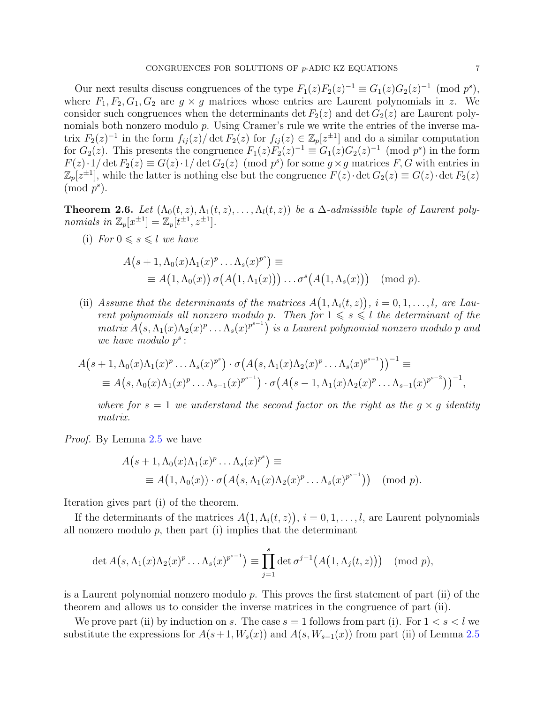Our next results discuss congruences of the type  $F_1(z)F_2(z)^{-1} \equiv G_1(z)G_2(z)^{-1} \pmod{p^s}$ , where  $F_1, F_2, G_1, G_2$  are  $g \times g$  matrices whose entries are Laurent polynomials in z. We consider such congruences when the determinants det  $F_2(z)$  and det  $G_2(z)$  are Laurent polynomials both nonzero modulo p. Using Cramer's rule we write the entries of the inverse matrix  $F_2(z)^{-1}$  in the form  $f_{ij}(z)$  det  $F_2(z)$  for  $f_{ij}(z) \in \mathbb{Z}_p[z^{\pm 1}]$  and do a similar computation for  $G_2(z)$ . This presents the congruence  $F_1(z)F_2(z)^{-1} \equiv G_1(z)G_2(z)^{-1} \pmod{p^s}$  in the form  $F(z) \cdot 1/\det F_2(z) \equiv G(z) \cdot 1/\det G_2(z) \pmod{p^s}$  for some  $g \times g$  matrices F, G with entries in  $\mathbb{Z}_p[z^{\pm 1}]$ , while the latter is nothing else but the congruence  $F(z) \cdot \det G_2(z) \equiv G(z) \cdot \det F_2(z)$  $\pmod{p^s}.$ 

<span id="page-6-0"></span>**Theorem 2.6.** Let  $(\Lambda_0(t, z), \Lambda_1(t, z), \ldots, \Lambda_l(t, z))$  be a  $\Delta$ -admissible tuple of Laurent polynomials in  $\mathbb{Z}_p[x^{\pm 1}] = \mathbb{Z}_p[t^{\pm 1}, z^{\pm 1}].$ 

(i) For  $0 \le s \le l$  we have

$$
A(s+1, \Lambda_0(x)\Lambda_1(x)^p \ldots \Lambda_s(x)^{p^s}) \equiv
$$
  
\n
$$
\equiv A(1, \Lambda_0(x)) \sigma(A(1, \Lambda_1(x))) \ldots \sigma^s(A(1, \Lambda_s(x))) \pmod{p}.
$$

(ii) Assume that the determinants of the matrices  $A(1, \Lambda_i(t, z))$ ,  $i = 0, 1, \ldots, l$ , are Laurent polynomials all nonzero modulo p. Then for  $1 \le s \le l$  the determinant of the  $matrix A(s, \Lambda_1(x)\Lambda_2(x)^p \ldots \Lambda_s(x)^{p^{s-1}})$  is a Laurent polynomial nonzero modulo p and we have modulo  $p^s$ :

$$
A(s+1, \Lambda_0(x)\Lambda_1(x)^p \ldots \Lambda_s(x)^{p^s}) \cdot \sigma(A(s, \Lambda_1(x)\Lambda_2(x)^p \ldots \Lambda_s(x)^{p^{s-1}}))^{-1} \equiv
$$
  

$$
\equiv A(s, \Lambda_0(x)\Lambda_1(x)^p \ldots \Lambda_{s-1}(x)^{p^{s-1}}) \cdot \sigma(A(s-1, \Lambda_1(x)\Lambda_2(x)^p \ldots \Lambda_{s-1}(x)^{p^{s-2}}))^{-1},
$$

where for  $s = 1$  we understand the second factor on the right as the  $g \times g$  identity matrix.

Proof. By Lemma [2.5](#page-5-1) we have

$$
A(s+1, \Lambda_0(x)\Lambda_1(x)^p \dots \Lambda_s(x)^{p^s}) \equiv
$$
  
\n
$$
\equiv A(1, \Lambda_0(x)) \cdot \sigma(A(s, \Lambda_1(x)\Lambda_2(x)^p \dots \Lambda_s(x)^{p^{s-1}})) \pmod{p}.
$$

Iteration gives part (i) of the theorem.

If the determinants of the matrices  $A(1, \Lambda_i(t, z))$ ,  $i = 0, 1, \ldots, l$ , are Laurent polynomials all nonzero modulo  $p$ , then part (i) implies that the determinant

$$
\det A(s, \Lambda_1(x)\Lambda_2(x)^p \ldots \Lambda_s(x)^{p^{s-1}}) \equiv \prod_{j=1}^s \det \sigma^{j-1}(A(1, \Lambda_j(t, z))) \pmod{p},
$$

is a Laurent polynomial nonzero modulo  $p$ . This proves the first statement of part (ii) of the theorem and allows us to consider the inverse matrices in the congruence of part (ii).

We prove part (ii) by induction on s. The case  $s = 1$  follows from part (i). For  $1 < s < l$  we substitute the expressions for  $A(s+1, W_s(x))$  and  $A(s, W_{s-1}(x))$  from part (ii) of Lemma [2.5](#page-5-1)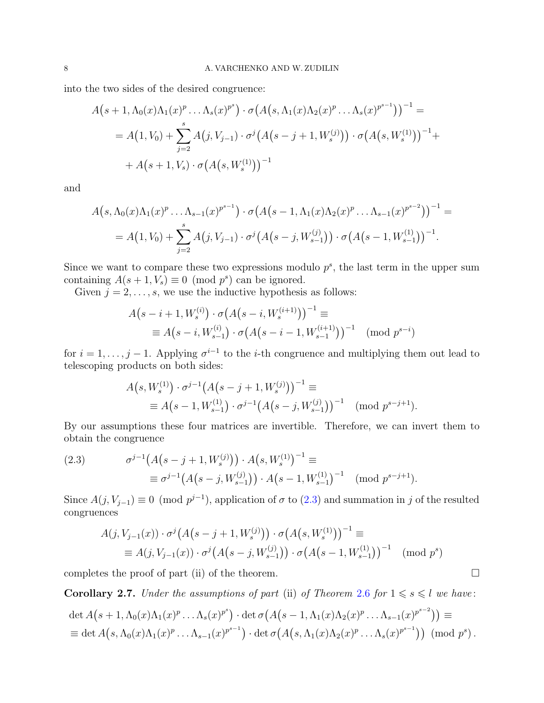into the two sides of the desired congruence:

$$
A(s+1, \Lambda_0(x)\Lambda_1(x)^p \dots \Lambda_s(x)^{p^s}) \cdot \sigma(A(s, \Lambda_1(x)\Lambda_2(x)^p \dots \Lambda_s(x)^{p^{s-1}}))^{-1} =
$$
  
=  $A(1, V_0) + \sum_{j=2}^s A(j, V_{j-1}) \cdot \sigma^j(A(s-j+1, W_s^{(j)})) \cdot \sigma(A(s, W_s^{(1)}))^{-1} +$   
+  $A(s+1, V_s) \cdot \sigma(A(s, W_s^{(1)}))^{-1}$ 

and

$$
A(s, \Lambda_0(x)\Lambda_1(x)^p \ldots \Lambda_{s-1}(x)^{p^{s-1}}) \cdot \sigma(A(s-1, \Lambda_1(x)\Lambda_2(x)^p \ldots \Lambda_{s-1}(x)^{p^{s-2}}))^{-1} =
$$
  
=  $A(1, V_0) + \sum_{j=2}^s A(j, V_{j-1}) \cdot \sigma^j(A(s-j, W_{s-1}^{(j)})) \cdot \sigma(A(s-1, W_{s-1}^{(1)}))^{-1}.$ 

Since we want to compare these two expressions modulo  $p^s$ , the last term in the upper sum containing  $A(s+1, V_s) \equiv 0 \pmod{p^s}$  can be ignored.

Given  $j = 2, \ldots, s$ , we use the inductive hypothesis as follows:

$$
A(s - i + 1, W_s^{(i)}) \cdot \sigma(A(s - i, W_s^{(i+1)}))^{-1} \equiv
$$
  
 
$$
\equiv A(s - i, W_{s-1}^{(i)}) \cdot \sigma(A(s - i - 1, W_{s-1}^{(i+1)}))^{-1} \pmod{p^{s-i}}
$$

for  $i = 1, \ldots, j-1$ . Applying  $\sigma^{i-1}$  to the *i*-th congruence and multiplying them out lead to telescoping products on both sides:

$$
A(s, W_s^{(1)}) \cdot \sigma^{j-1} (A(s - j + 1, W_s^{(j)}))^{-1} \equiv
$$
  
 
$$
\equiv A(s - 1, W_{s-1}^{(1)}) \cdot \sigma^{j-1} (A(s - j, W_{s-1}^{(j)}))^{-1} \pmod{p^{s-j+1}}.
$$

By our assumptions these four matrices are invertible. Therefore, we can invert them to obtain the congruence

<span id="page-7-0"></span>(2.3) 
$$
\sigma^{j-1}(A(s-j+1, W_s^{(j)})) \cdot A(s, W_s^{(1)})^{-1} \equiv \equiv \sigma^{j-1}(A(s-j, W_{s-1}^{(j)})) \cdot A(s-1, W_{s-1}^{(1)})^{-1} \pmod{p^{s-j+1}}.
$$

Since  $A(j, V_{j-1}) \equiv 0 \pmod{p^{j-1}}$ , application of  $\sigma$  to  $(2.3)$  and summation in j of the resulted congruences

$$
A(j, V_{j-1}(x)) \cdot \sigma^j (A(s - j + 1, W_s^{(j)})) \cdot \sigma (A(s, W_s^{(1)}))^{-1} \equiv
$$
  
 
$$
\equiv A(j, V_{j-1}(x)) \cdot \sigma^j (A(s - j, W_{s-1}^{(j)})) \cdot \sigma (A(s - 1, W_{s-1}^{(1)}))^{-1} \pmod{p^s}
$$

completes the proof of part (ii) of the theorem.  $\Box$ 

Corollary 2.7. Under the assumptions of part (ii) of Theorem [2.6](#page-6-0) for  $1 \le s \le l$  we have:

$$
\det A(s+1, \Lambda_0(x)\Lambda_1(x)^p \ldots \Lambda_s(x)^{p^s}) \cdot \det \sigma (A(s-1, \Lambda_1(x)\Lambda_2(x)^p \ldots \Lambda_{s-1}(x)^{p^{s-2}})) \equiv
$$
  

$$
\equiv \det A(s, \Lambda_0(x)\Lambda_1(x)^p \ldots \Lambda_{s-1}(x)^{p^{s-1}}) \cdot \det \sigma (A(s, \Lambda_1(x)\Lambda_2(x)^p \ldots \Lambda_s(x)^{p^{s-1}})) \pmod{p^s}.
$$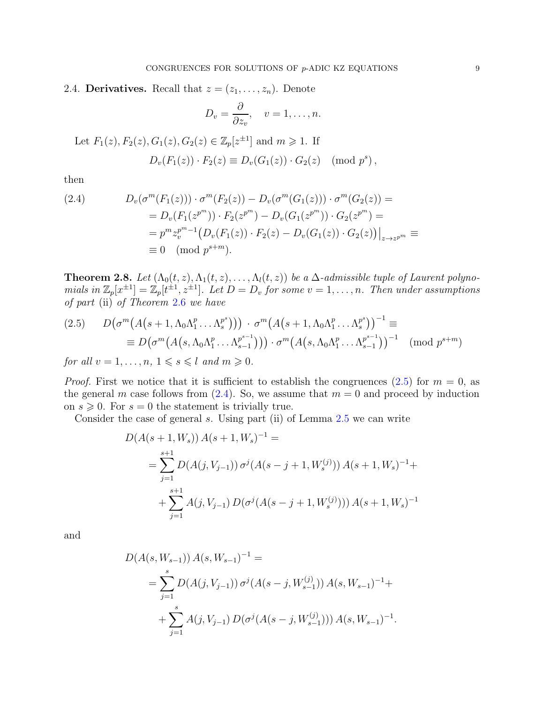<span id="page-8-0"></span>2.4. **Derivatives.** Recall that  $z = (z_1, \ldots, z_n)$ . Denote

$$
D_v = \frac{\partial}{\partial z_v}, \quad v = 1, \dots, n.
$$

Let 
$$
F_1(z)
$$
,  $F_2(z)$ ,  $G_1(z)$ ,  $G_2(z) \in \mathbb{Z}_p[z^{\pm 1}]$  and  $m \ge 1$ . If  
\n
$$
D_v(F_1(z)) \cdot F_2(z) \equiv D_v(G_1(z)) \cdot G_2(z) \pmod{p^s},
$$

then

<span id="page-8-3"></span>(2.4) 
$$
D_v(\sigma^m(F_1(z))) \cdot \sigma^m(F_2(z)) - D_v(\sigma^m(G_1(z))) \cdot \sigma^m(G_2(z)) =
$$

$$
= D_v(F_1(z^{p^m})) \cdot F_2(z^{p^m}) - D_v(G_1(z^{p^m})) \cdot G_2(z^{p^m}) =
$$

$$
= p^m z_v^{p^m - 1} \left( D_v(F_1(z)) \cdot F_2(z) - D_v(G_1(z)) \cdot G_2(z) \right) \Big|_{z \to z^{p^m}} \equiv
$$

$$
\equiv 0 \pmod{p^{s+m}}.
$$

<span id="page-8-1"></span>**Theorem 2.8.** Let  $(\Lambda_0(t, z), \Lambda_1(t, z), \ldots, \Lambda_l(t, z))$  be a  $\Delta$ -admissible tuple of Laurent polynomials in  $\mathbb{Z}_p[x^{\pm 1}] = \mathbb{Z}_p[t^{\pm 1}, z^{\pm 1}]$ . Let  $D = D_v$  for some  $v = 1, \ldots, n$ . Then under assumptions of part (ii) of Theorem [2.6](#page-6-0) we have

<span id="page-8-2"></span>
$$
(2.5) \qquad D\big(\sigma^m\big(A\big(s+1,\Lambda_0\Lambda_1^p\ldots\Lambda_s^{p^s}\big)\big)\big) \cdot \sigma^m\big(A\big(s+1,\Lambda_0\Lambda_1^p\ldots\Lambda_s^{p^s}\big)\big)^{-1} \equiv
$$
\n
$$
\equiv D\big(\sigma^m\big(A\big(s,\Lambda_0\Lambda_1^p\ldots\Lambda_{s-1}^{p^{s-1}}\big)\big)\big) \cdot \sigma^m\big(A\big(s,\Lambda_0\Lambda_1^p\ldots\Lambda_{s-1}^{p^{s-1}}\big)\big)^{-1} \pmod{p^{s+m}}
$$
\nfor all  $x \geq 1, \ldots, n-1 \leq s \leq l$  and  $m \geq 0$ .

for all  $v = 1, \ldots, n, 1 \leq s \leq l$  and  $m \geq 0$ .

*Proof.* First we notice that it is sufficient to establish the congruences [\(2.5\)](#page-8-2) for  $m = 0$ , as the general m case follows from  $(2.4)$ . So, we assume that  $m = 0$  and proceed by induction on  $s \geqslant 0$ . For  $s = 0$  the statement is trivially true.

Consider the case of general  $s$ . Using part (ii) of Lemma  $2.5$  we can write

$$
D(A(s+1, W_s)) A(s+1, W_s)^{-1} =
$$
  
= 
$$
\sum_{j=1}^{s+1} D(A(j, V_{j-1})) \sigma^{j} (A(s-j+1, W_s^{(j)})) A(s+1, W_s)^{-1} +
$$
  
+ 
$$
\sum_{j=1}^{s+1} A(j, V_{j-1}) D(\sigma^{j} (A(s-j+1, W_s^{(j)}))) A(s+1, W_s)^{-1}
$$

and

$$
D(A(s, W_{s-1})) A(s, W_{s-1})^{-1} =
$$
  
= 
$$
\sum_{j=1}^{s} D(A(j, V_{j-1})) \sigma^{j} (A(s - j, W_{s-1}^{(j)})) A(s, W_{s-1})^{-1} +
$$
  
+ 
$$
\sum_{j=1}^{s} A(j, V_{j-1}) D(\sigma^{j} (A(s - j, W_{s-1}^{(j)}))) A(s, W_{s-1})^{-1}.
$$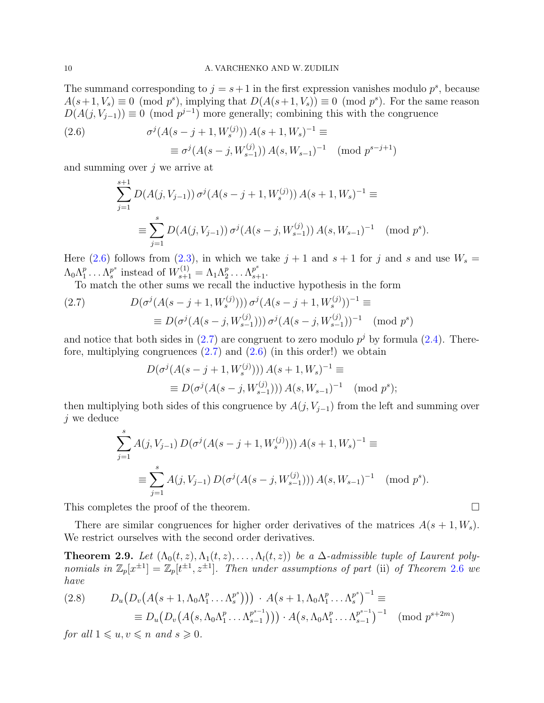The summand corresponding to  $j = s + 1$  in the first expression vanishes modulo  $p^s$ , because  $A(s+1, V_s) \equiv 0 \pmod{p^s}$ , implying that  $D(A(s+1, V_s)) \equiv 0 \pmod{p^s}$ . For the same reason  $D(A(j, V_{j-1})) \equiv 0 \pmod{p^{j-1}}$  more generally; combining this with the congruence

<span id="page-9-0"></span>(2.6) 
$$
\sigma^{j}(A(s-j+1, W_s^{(j)})) A(s+1, W_s)^{-1} \equiv
$$

$$
\equiv \sigma^{j}(A(s-j, W_{s-1}^{(j)})) A(s, W_{s-1})^{-1} \pmod{p^{s-j+1}}
$$

and summing over  $i$  we arrive at

$$
\sum_{j=1}^{s+1} D(A(j, V_{j-1})) \sigma^j(A(s-j+1, W_s^{(j)})) A(s+1, W_s)^{-1} \equiv
$$
  

$$
\equiv \sum_{j=1}^s D(A(j, V_{j-1})) \sigma^j(A(s-j, W_{s-1}^{(j)})) A(s, W_{s-1})^{-1} \pmod{p^s}.
$$

Here [\(2.6\)](#page-9-0) follows from [\(2.3\)](#page-7-0), in which we take  $j+1$  and  $s+1$  for j and s and use  $W_s =$  $\Lambda_0 \Lambda_1^p$  $y_1^p \ldots \Lambda_s^{p^s}$  $s^s$  instead of  $W_{s+1}^{(1)} = \Lambda_1 \Lambda_2^p$  $p_2^p \ldots \Lambda_{s+1}^{p^s}.$ 

To match the other sums we recall the inductive hypothesis in the form

<span id="page-9-1"></span>(2.7) 
$$
D(\sigma^{j}(A(s-j+1, W_s^{(j)}))) \sigma^{j}(A(s-j+1, W_s^{(j)}))^{-1} \equiv
$$

$$
\equiv D(\sigma^{j}(A(s-j, W_{s-1}^{(j)}))) \sigma^{j}(A(s-j, W_{s-1}^{(j)}))^{-1} \pmod{p^s}
$$

and notice that both sides in  $(2.7)$  are congruent to zero modulo  $p<sup>j</sup>$  by formula  $(2.4)$ . Therefore, multiplying congruences  $(2.7)$  and  $(2.6)$  (in this order!) we obtain

$$
D(\sigma^{j}(A(s-j+1, W_s^{(j)}))) A(s+1, W_s)^{-1} \equiv
$$
  
\n
$$
\equiv D(\sigma^{j}(A(s-j, W_{s-1}^{(j)}))) A(s, W_{s-1})^{-1} \pmod{p^s};
$$

then multiplying both sides of this congruence by  $A(j, V_{j-1})$  from the left and summing over  $j$  we deduce

$$
\sum_{j=1}^{s} A(j, V_{j-1}) D(\sigma^{j}(A(s-j+1, W_s^{(j)}))) A(s+1, W_s)^{-1} \equiv
$$
  

$$
\equiv \sum_{j=1}^{s} A(j, V_{j-1}) D(\sigma^{j}(A(s-j, W_{s-1}^{(j)}))) A(s, W_{s-1})^{-1} \pmod{p^s}.
$$

This completes the proof of the theorem.

There are similar congruences for higher order derivatives of the matrices  $A(s + 1, W_s)$ . We restrict ourselves with the second order derivatives.

<span id="page-9-3"></span>**Theorem 2.9.** Let  $(\Lambda_0(t, z), \Lambda_1(t, z), \ldots, \Lambda_l(t, z))$  be a  $\Delta$ -admissible tuple of Laurent polynomials in  $\mathbb{Z}_p[x^{\pm 1}] = \mathbb{Z}_p[t^{\pm 1}, z^{\pm 1}]$ . Then under assumptions of part (ii) of Theorem [2.6](#page-6-0) we have

<span id="page-9-2"></span>
$$
(2.8) \qquad D_u(D_v(A(s+1, \Lambda_0\Lambda_1^p \dots \Lambda_s^{p^s}))) \cdot A(s+1, \Lambda_0\Lambda_1^p \dots \Lambda_s^{p^s})^{-1} \equiv
$$
  

$$
\equiv D_u(D_v(A(s, \Lambda_0\Lambda_1^p \dots \Lambda_{s-1}^{p^{s-1}}))) \cdot A(s, \Lambda_0\Lambda_1^p \dots \Lambda_{s-1}^{p^{s-1}})^{-1} \pmod{p^{s+2m}}
$$

for all  $1 \leq u, v \leq n$  and  $s \geq 0$ .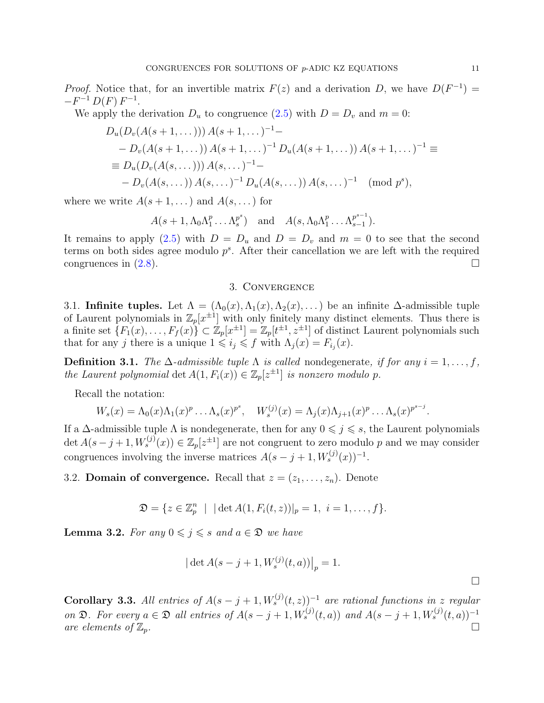*Proof.* Notice that, for an invertible matrix  $F(z)$  and a derivation D, we have  $D(F^{-1}) =$  $-F^{-1} D(F) F^{-1}.$ 

We apply the derivation  $D_u$  to congruence [\(2.5\)](#page-8-2) with  $D = D_v$  and  $m = 0$ :

$$
D_u(D_v(A(s+1,...))) A(s+1,...)^{-1} - D_v(A(s+1,...)) A(s+1,...)^{-1} D_u(A(s+1,...)) A(s+1,...)^{-1} \equiv
$$
  
= 
$$
D_u(D_v(A(s,...))) A(s,...)^{-1} -
$$
  
- 
$$
D_v(A(s,...)) A(s,...)^{-1} D_u(A(s,...)) A(s,...)^{-1} \pmod{p^s},
$$

where we write  $A(s+1,...)$  and  $A(s,...)$  for

$$
A(s+1, \Lambda_0 \Lambda_1^p \ldots \Lambda_s^{p^s})
$$
 and  $A(s, \Lambda_0 \Lambda_1^p \ldots \Lambda_{s-1}^{p^{s-1}}).$ 

It remains to apply [\(2.5\)](#page-8-2) with  $D = D_u$  and  $D = D_v$  and  $m = 0$  to see that the second terms on both sides agree modulo  $p^s$ . After their cancellation we are left with the required congruences in  $(2.8)$ .

### 3. Convergence

<span id="page-10-1"></span><span id="page-10-0"></span>3.1. Infinite tuples. Let  $\Lambda = (\Lambda_0(x), \Lambda_1(x), \Lambda_2(x), \dots)$  be an infinite  $\Delta$ -admissible tuple of Laurent polynomials in  $\mathbb{Z}_p[x^{\pm 1}]$  with only finitely many distinct elements. Thus there is a finite set  $\{F_1(x), \ldots, F_f(x)\} \subset \mathbb{Z}_p[x^{\pm 1}] = \mathbb{Z}_p[t^{\pm 1}, z^{\pm 1}]$  of distinct Laurent polynomials such that for any j there is a unique  $1 \leq i_j \leq f$  with  $\Lambda_j(x) = F_{i_j}(x)$ .

**Definition 3.1.** The  $\Delta$ -admissible tuple  $\Lambda$  is called nondegenerate, if for any  $i = 1, \ldots, f$ , the Laurent polynomial det  $A(1, F_i(x)) \in \mathbb{Z}_p[z^{\pm 1}]$  is nonzero modulo p.

Recall the notation:

$$
W_s(x) = \Lambda_0(x)\Lambda_1(x)^p \dots \Lambda_s(x)^{p^s}, \quad W_s^{(j)}(x) = \Lambda_j(x)\Lambda_{j+1}(x)^p \dots \Lambda_s(x)^{p^{s-j}}.
$$

If a  $\Delta$ -admissible tuple  $\Lambda$  is nondegenerate, then for any  $0 \leq j \leq s$ , the Laurent polynomials  $\det A(s-j+1,W_s^{(j)}(x)) \in \mathbb{Z}_p[z^{\pm 1}]$  are not congruent to zero modulo p and we may consider congruences involving the inverse matrices  $A(s-j+1, W_s^{(j)}(x))^{-1}$ .

<span id="page-10-2"></span>3.2. **Domain of convergence.** Recall that  $z = (z_1, \ldots, z_n)$ . Denote

$$
\mathfrak{D} = \{ z \in \mathbb{Z}_p^n \mid |\det A(1, F_i(t, z))|_p = 1, \ i = 1, \dots, f \}.
$$

**Lemma 3.2.** For any  $0 \leq j \leq s$  and  $a \in \mathfrak{D}$  we have

$$
\big|\det A(s-j+1,W^{(j)}_s(t,a))\big|_p=1.
$$

**Corollary 3.3.** All entries of  $A(s - j + 1, W_s^{(j)}(t, z))$ <sup>-1</sup> are rational functions in z regular on  $\mathfrak{D}$ . For every  $a \in \mathfrak{D}$  all entries of  $A(s-j+1, W_s^{(j)}(t, a))$  and  $A(s-j+1, W_s^{(j)}(t, a))^{-1}$ are elements of  $\mathbb{Z}_p$ .

 $\Box$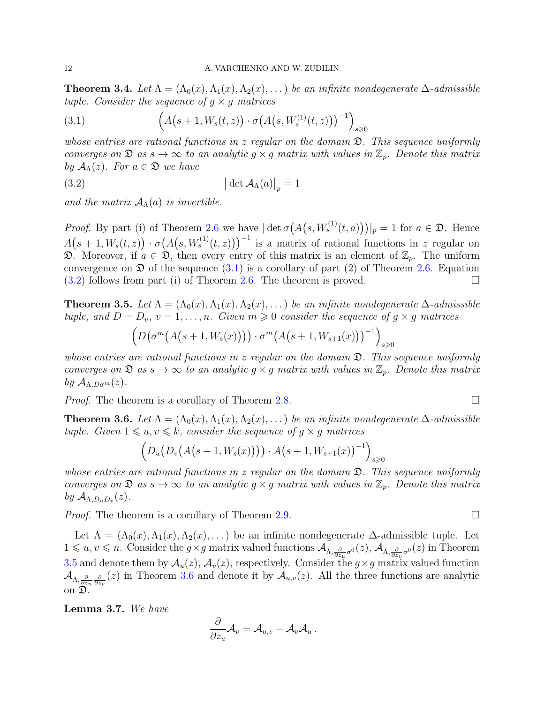<span id="page-11-4"></span>**Theorem 3.4.** Let  $\Lambda = (\Lambda_0(x), \Lambda_1(x), \Lambda_2(x), ...)$  be an infinite nondegenerate  $\Delta$ -admissible tuple. Consider the sequence of  $g \times g$  matrices

<span id="page-11-0"></span>(3.1) 
$$
\left(A(s+1, W_s(t, z)) \cdot \sigma(A(s, W_s^{(1)}(t, z)))^{-1}\right)_{s \geq 0}
$$

whose entries are rational functions in z regular on the domain  $\mathfrak{D}$ . This sequence uniformly converges on  $\mathfrak{D}$  as  $s \to \infty$  to an analytic  $g \times g$  matrix with values in  $\mathbb{Z}_p$ . Denote this matrix by  $\mathcal{A}_{\Lambda}(z)$ . For  $a \in \mathfrak{D}$  we have

<span id="page-11-1"></span>(3.2) 
$$
\left| \det \mathcal{A}_{\Lambda}(a) \right|_{p} = 1
$$

and the matrix  $A_\Lambda(a)$  is invertible.

*Proof.* By part (i) of Theorem [2.6](#page-6-0) we have  $|\det \sigma(A(s, W_s^{(1)}(t, a)))|_p = 1$  for  $a \in \mathfrak{D}$ . Hence  $A(s+1,W_s(t,z)) \cdot \sigma(A(s,W_s^{(1)}(t,z)))^{-1}$  is a matrix of rational functions in z regular on  $\mathfrak{D}$ . Moreover, if  $a \in \mathfrak{D}$ , then every entry of this matrix is an element of  $\mathbb{Z}_p$ . The uniform convergence on  $\mathfrak D$  of the sequence  $(3.1)$  is a corollary of part  $(2)$  of Theorem [2.6.](#page-6-0) Equation  $(3.2)$  follows from part (i) of Theorem [2.6.](#page-6-0) The theorem is proved.

<span id="page-11-2"></span>**Theorem 3.5.** Let  $\Lambda = (\Lambda_0(x), \Lambda_1(x), \Lambda_2(x), ...)$  be an infinite nondegenerate  $\Delta$ -admissible tuple, and  $D = D_v$ ,  $v = 1, ..., n$ . Given  $m \geq 0$  consider the sequence of  $g \times g$  matrices

$$
\left(D\big(\sigma^m\big(A\big(s+1,W_s(x)\big)\big)\big)\cdot \sigma^m\big(A\big(s+1,W_{s+1}(x)\big)\big)^{-1}\right)_{s\geq 0}
$$

whose entries are rational functions in z regular on the domain  $\mathfrak{D}$ . This sequence uniformly converges on  $\mathfrak{D}$  as  $s \to \infty$  to an analytic  $g \times g$  matrix with values in  $\mathbb{Z}_p$ . Denote this matrix by  $\mathcal{A}_{\Lambda,D\sigma^m}(z)$ .

*Proof.* The theorem is a corollary of Theorem [2.8.](#page-8-1)

<span id="page-11-3"></span>**Theorem 3.6.** Let  $\Lambda = (\Lambda_0(x), \Lambda_1(x), \Lambda_2(x), ...)$  be an infinite nondegenerate  $\Delta$ -admissible tuple. Given  $1 \leq u, v \leq k$ , consider the sequence of  $g \times g$  matrices

$$
(D_u(D_v(A(s+1, W_s(x)))) \cdot A(s+1, W_{s+1}(x))^{-1})_{s \ge 0}
$$

whose entries are rational functions in z regular on the domain  $\mathfrak{D}$ . This sequence uniformly converges on  $\mathfrak{D}$  as  $s \to \infty$  to an analytic  $g \times g$  matrix with values in  $\mathbb{Z}_p$ . Denote this matrix by  $\mathcal{A}_{\Lambda,D_uD_v}(z)$ .

*Proof.* The theorem is a corollary of Theorem [2.9.](#page-9-3)

Let  $\Lambda = (\Lambda_0(x), \Lambda_1(x), \Lambda_2(x), \dots)$  be an infinite nondegenerate  $\Delta$ -admissible tuple. Let  $1 \leq u, v \leq n$ . Consider the  $g \times g$  matrix valued functions  $\mathcal{A}_{\Lambda, \frac{\partial}{\partial z_u} \sigma^0}(z)$ ,  $\mathcal{A}_{\Lambda, \frac{\partial}{\partial z_v} \sigma^0}(z)$  in Theorem [3.5](#page-11-2) and denote them by  $\mathcal{A}_u(z)$ ,  $\mathcal{A}_v(z)$ , respectively. Consider the  $g \times g$  matrix valued function  $\mathcal{A}_{\Lambda,\frac{\partial}{\partial z_u}}(z)$  in Theorem [3.6](#page-11-3) and denote it by  $\mathcal{A}_{u,v}(z)$ . All the three functions are analytic on D.

<span id="page-11-5"></span>Lemma 3.7. We have

$$
\frac{\partial}{\partial z_u} \mathcal{A}_v = \mathcal{A}_{u,v} - \mathcal{A}_v \mathcal{A}_u \,.
$$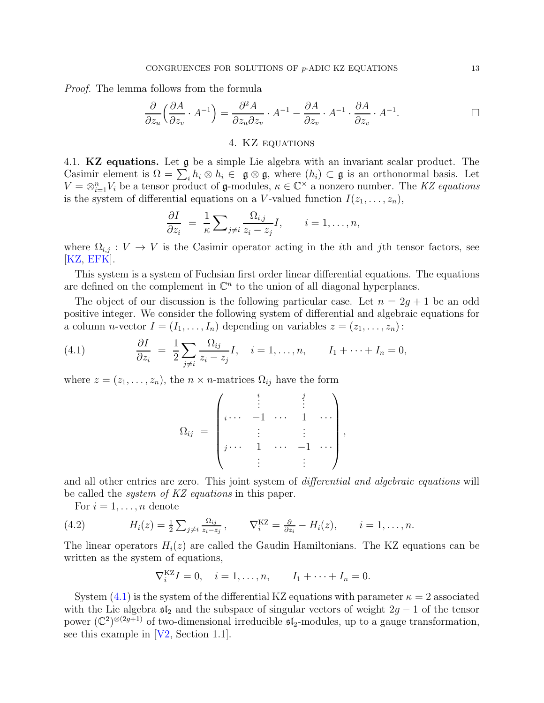Proof. The lemma follows from the formula

$$
\frac{\partial}{\partial z_u} \left( \frac{\partial A}{\partial z_v} \cdot A^{-1} \right) = \frac{\partial^2 A}{\partial z_u \partial z_v} \cdot A^{-1} - \frac{\partial A}{\partial z_v} \cdot A^{-1} \cdot \frac{\partial A}{\partial z_v} \cdot A^{-1}.
$$

# 4. KZ equations

<span id="page-12-1"></span><span id="page-12-0"></span>4.1. KZ equations. Let g be a simple Lie algebra with an invariant scalar product. The Casimir element is  $\Omega = \sum_i h_i \otimes h_i \in \mathfrak{g} \otimes \mathfrak{g}$ , where  $(h_i) \subset \mathfrak{g}$  is an orthonormal basis. Let  $V = \otimes_{i=1}^n V_i$  be a tensor product of **g**-modules,  $\kappa \in \mathbb{C}^\times$  a nonzero number. The KZ equations is the system of differential equations on a V-valued function  $I(z_1, \ldots, z_n)$ ,

$$
\frac{\partial I}{\partial z_i} = \frac{1}{\kappa} \sum_{j \neq i} \frac{\Omega_{i,j}}{z_i - z_j} I, \qquad i = 1, \dots, n,
$$

where  $\Omega_{i,j} : V \to V$  is the Casimir operator acting in the *i*th and *j*th tensor factors, see  $[KZ, EFK].$  $[KZ, EFK].$  $[KZ, EFK].$  $[KZ, EFK].$ 

This system is a system of Fuchsian first order linear differential equations. The equations are defined on the complement in  $\mathbb{C}^n$  to the union of all diagonal hyperplanes.

The object of our discussion is the following particular case. Let  $n = 2g + 1$  be an odd positive integer. We consider the following system of differential and algebraic equations for a column *n*-vector  $I = (I_1, \ldots, I_n)$  depending on variables  $z = (z_1, \ldots, z_n)$ :

<span id="page-12-2"></span>(4.1) 
$$
\frac{\partial I}{\partial z_i} = \frac{1}{2} \sum_{j \neq i} \frac{\Omega_{ij}}{z_i - z_j} I, \quad i = 1, ..., n, \qquad I_1 + \cdots + I_n = 0,
$$

where  $z = (z_1, \ldots, z_n)$ , the  $n \times n$ -matrices  $\Omega_{ij}$  have the form

$$
\Omega_{ij} = \begin{pmatrix} \vdots & \vdots & \vdots \\ \vdots & \ddots & 1 & \cdots \\ \vdots & \vdots & \vdots \\ \vdots & \ddots & \vdots & \ddots \\ \vdots & \vdots & \vdots & \vdots \end{pmatrix},
$$

and all other entries are zero. This joint system of *differential and algebraic equations* will be called the system of KZ equations in this paper.

<span id="page-12-3"></span>For  $i = 1, \ldots, n$  denote

(4.2) 
$$
H_i(z) = \frac{1}{2} \sum_{j \neq i} \frac{\Omega_{ij}}{z_i - z_j}, \qquad \nabla_i^{KZ} = \frac{\partial}{\partial z_i} - H_i(z), \qquad i = 1, \ldots, n.
$$

The linear operators  $H_i(z)$  are called the Gaudin Hamiltonians. The KZ equations can be written as the system of equations,

$$
\nabla_i^{KZ} I = 0, \quad i = 1, ..., n, \qquad I_1 + \cdots + I_n = 0.
$$

System  $(4.1)$  is the system of the differential KZ equations with parameter  $\kappa = 2$  associated with the Lie algebra  $\mathfrak{sl}_2$  and the subspace of singular vectors of weight  $2g - 1$  of the tensor power  $(\mathbb{C}^2)^{\otimes (2g+1)}$  of two-dimensional irreducible  $\mathfrak{sl}_2$ -modules, up to a gauge transformation, see this example in [\[V2,](#page-23-8) Section 1.1].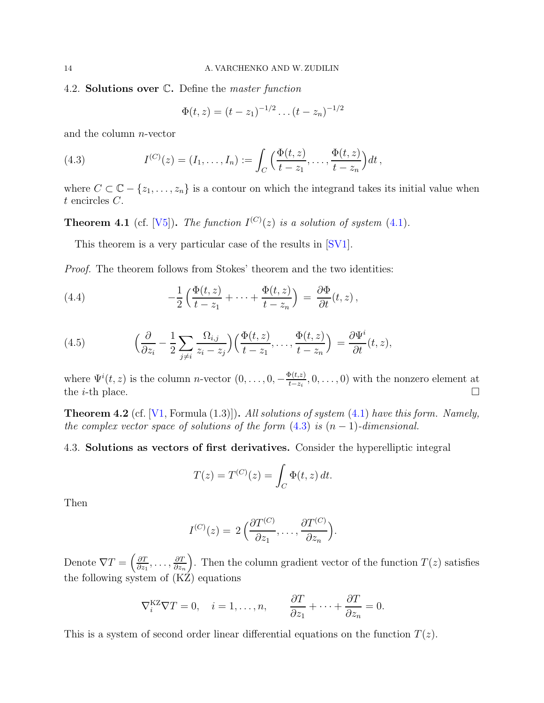### <span id="page-13-0"></span>4.2. **Solutions over C.** Define the *master function*

<span id="page-13-2"></span>
$$
\Phi(t,z) = (t-z_1)^{-1/2} \dots (t-z_n)^{-1/2}
$$

and the column n-vector

(4.3) 
$$
I^{(C)}(z) = (I_1, ..., I_n) := \int_C \left( \frac{\Phi(t, z)}{t - z_1}, ..., \frac{\Phi(t, z)}{t - z_n} \right) dt,
$$

where  $C \subset \mathbb{C} - \{z_1, \ldots, z_n\}$  is a contour on which the integrand takes its initial value when t encircles C.

**Theorem 4.1** (cf. [\[V5\]](#page-24-0)). The function  $I^{(C)}(z)$  is a solution of system [\(4.1\)](#page-12-2).

This theorem is a very particular case of the results in [\[SV1\]](#page-23-7).

Proof. The theorem follows from Stokes' theorem and the two identities:

<span id="page-13-3"></span>(4.4) 
$$
-\frac{1}{2}\left(\frac{\Phi(t,z)}{t-z_1}+\cdots+\frac{\Phi(t,z)}{t-z_n}\right) = \frac{\partial \Phi}{\partial t}(t,z),
$$

<span id="page-13-4"></span>(4.5) 
$$
\left(\frac{\partial}{\partial z_i} - \frac{1}{2} \sum_{j \neq i} \frac{\Omega_{i,j}}{z_i - z_j} \right) \left(\frac{\Phi(t,z)}{t-z_1}, \dots, \frac{\Phi(t,z)}{t-z_n} \right) = \frac{\partial \Psi^i}{\partial t}(t,z),
$$

where  $\Psi^{i}(t, z)$  is the column *n*-vector  $(0, \ldots, 0, -\frac{\Phi(t, z)}{t-z)}$  $\frac{\rho(t,z)}{t-z_i}, 0, \ldots, 0)$  with the nonzero element at the *i*-th place.  $\Box$ 

**Theorem 4.2** (cf.  $[V1, \text{Formula } (1.3)]$ ). All solutions of system  $(4.1)$  have this form. Namely, the complex vector space of solutions of the form  $(4.3)$  is  $(n-1)$ -dimensional.

# <span id="page-13-1"></span>4.3. Solutions as vectors of first derivatives. Consider the hyperelliptic integral

$$
T(z) = T^{(C)}(z) = \int_C \Phi(t, z) dt.
$$

Then

$$
I^{(C)}(z) = 2\left(\frac{\partial T^{(C)}}{\partial z_1}, \ldots, \frac{\partial T^{(C)}}{\partial z_n}\right).
$$

Denote  $\nabla T = \left(\frac{\partial T}{\partial x_i}\right)$  $\frac{\partial T}{\partial z_1},\ldots,\frac{\partial T}{\partial z_r}$  $\partial z_n$ ). Then the column gradient vector of the function  $T(z)$  satisfies the following system of (KZ) equations

$$
\nabla_i^{KZ}\nabla T=0, \quad i=1,\ldots,n, \qquad \frac{\partial T}{\partial z_1}+\cdots+\frac{\partial T}{\partial z_n}=0.
$$

This is a system of second order linear differential equations on the function  $T(z)$ .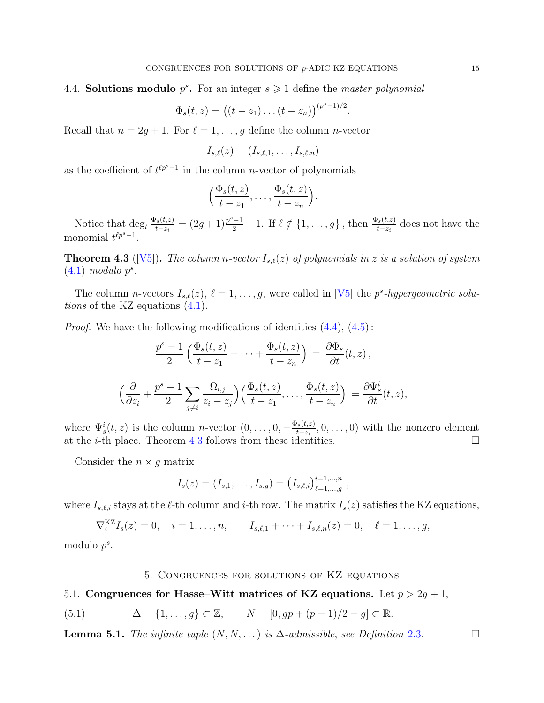.

# <span id="page-14-0"></span>4.4. Solutions modulo  $p^s$ . For an integer  $s \geq 1$  define the *master polynomial*

$$
\Phi_s(t, z) = ((t - z_1) \dots (t - z_n))^{(p^s - 1)/2}
$$

Recall that  $n = 2g + 1$ . For  $\ell = 1, \ldots, g$  define the column *n*-vector

$$
I_{s,\ell}(z)=(I_{s,\ell,1},\ldots,I_{s,\ell,n})
$$

as the coefficient of  $t^{\ell p^{s}-1}$  in the column *n*-vector of polynomials

$$
\left(\frac{\Phi_s(t,z)}{t-z_1},\ldots,\frac{\Phi_s(t,z)}{t-z_n}\right).
$$

Notice that  $\deg_t \frac{\Phi_s(t,z)}{t-z_i}$  $\frac{\Phi(s(t,z))}{t-z_i} = (2g+1)\frac{p^s-1}{2} - 1.$  If  $\ell \notin \{1,\ldots,g\}$ , then  $\frac{\Phi_s(t,z)}{t-z_i}$  does not have the monomial  $t^{\ell p^{s}-1}$ .

<span id="page-14-3"></span>**Theorem 4.3** ([\[V5\]](#page-24-0)). The column n-vector  $I_{s,\ell}(z)$  of polynomials in z is a solution of system  $(4.1)$  modulo  $p^s$ .

The column *n*-vectors  $I_{s,\ell}(z)$ ,  $\ell = 1, \ldots, g$ , were called in [\[V5\]](#page-24-0) the p<sup>s</sup>-hypergeometric solutions of the KZ equations [\(4.1\)](#page-12-2).

*Proof.* We have the following modifications of identities  $(4.4)$ ,  $(4.5)$ :

$$
\frac{p^s - 1}{2} \left( \frac{\Phi_s(t, z)}{t - z_1} + \dots + \frac{\Phi_s(t, z)}{t - z_n} \right) = \frac{\partial \Phi_s}{\partial t}(t, z),
$$

$$
\left( \frac{\partial}{\partial z_i} + \frac{p^s - 1}{2} \sum_{j \neq i} \frac{\Omega_{i,j}}{z_i - z_j} \right) \left( \frac{\Phi_s(t, z)}{t - z_1}, \dots, \frac{\Phi_s(t, z)}{t - z_n} \right) = \frac{\partial \Psi_s^i}{\partial t}(t, z),
$$

where  $\Psi_s^i(t, z)$  is the column *n*-vector  $(0, \ldots, 0, -\frac{\Phi_s(t, z)}{t - z_i})$  $\frac{t^2 s(t,z)}{t-z_i}, 0, \ldots, 0)$  with the nonzero element at the *i*-th place. Theorem [4.3](#page-14-3) follows from these identities.  $\square$ 

Consider the  $n \times g$  matrix

$$
I_s(z) = (I_{s,1},\ldots,I_{s,g}) = (I_{s,\ell,i})_{\ell=1,\ldots,g}^{i=1,\ldots,n},
$$

where  $I_{s,\ell,i}$  stays at the  $\ell$ -th column and i-th row. The matrix  $I_s(z)$  satisfies the KZ equations,

 $\nabla_i^{KZ} I_s(z) = 0, \quad i = 1, \dots, n, \qquad I_{s,\ell,1} + \dots + I_{s,\ell,n}(z) = 0, \quad \ell = 1, \dots, g,$ 

<span id="page-14-1"></span>modulo 
$$
p^s
$$
.

### <span id="page-14-4"></span>5. Congruences for solutions of KZ equations

<span id="page-14-2"></span>5.1. Congruences for Hasse–Witt matrices of KZ equations. Let  $p > 2g + 1$ ,

(5.1) 
$$
\Delta = \{1, ..., g\} \subset \mathbb{Z}, \qquad N = [0, gp + (p - 1)/2 - g] \subset \mathbb{R}.
$$

**Lemma 5.1.** The infinite tuple  $(N, N, ...)$  is  $\Delta$ -admissible, see Definition [2.3](#page-4-4).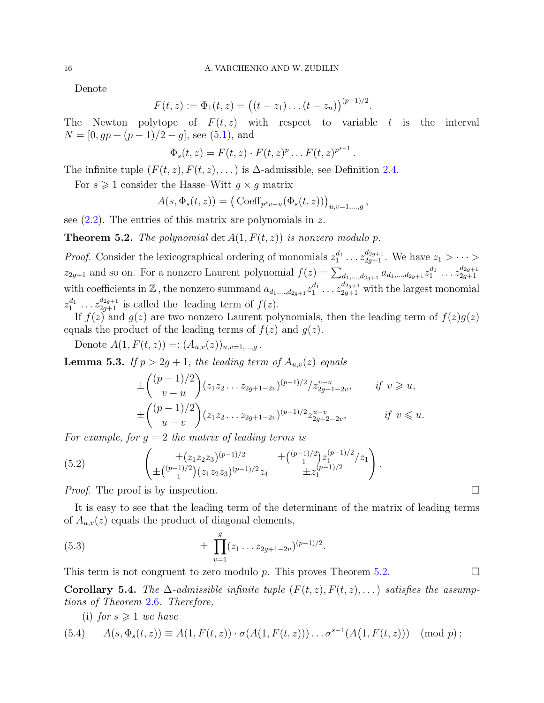Denote

$$
F(t,z) := \Phi_1(t,z) = ((t-z_1)\dots(t-z_n))^{(p-1)/2}.
$$

The Newton polytope of  $F(t, z)$  with respect to variable t is the interval  $N = [0, gp + (p-1)/2 - g]$ , see [\(5.1\)](#page-14-4), and

$$
\Phi_s(t, z) = F(t, z) \cdot F(t, z)^p \dots F(t, z)^{p^{s-1}}
$$
.

The infinite tuple  $(F(t, z), F(t, z), \dots)$  is  $\Delta$ -admissible, see Definition [2.4.](#page-5-2)

For  $s \geq 1$  consider the Hasse–Witt  $q \times q$  matrix

$$
A(s, \Phi_s(t, z)) = (\operatorname{Coeff}_{p^s v - u}(\Phi_s(t, z)))_{u, v=1,\dots,g},
$$

see  $(2.2)$ . The entries of this matrix are polynomials in z.

<span id="page-15-0"></span>**Theorem 5.2.** The polynomial det  $A(1, F(t, z))$  is nonzero modulo p.

*Proof.* Consider the lexicographical ordering of monomials  $z_1^{d_1} \ldots z_{2g+1}^{d_{2g+1}}$ . We have  $z_1 > \cdots > z_{2g+1}$  $z_{2g+1}$  and so on. For a nonzero Laurent polynomial  $f(z) = \sum_{d_1,\dots,d_{2g+1}} a_{d_1,\dots,d_{2g+1}} z_1^{d_1} \dots z_{2g+1}^{d_{2g+1}}$  $_{2g+1}$ with coefficients in Z, the nonzero summand  $a_{d_1,...,d_{2g+1}}z_1^{d_1} \ldots z_{2g+1}^{d_{2g+1}}$  with the largest monomial  $z_1^{d_1} \ldots z_{2g+1}^{d_{2g+1}}$  is called the leading term of  $f(z)$ .

If  $f(z)$  and  $g(z)$  are two nonzero Laurent polynomials, then the leading term of  $f(z)g(z)$ equals the product of the leading terms of  $f(z)$  and  $g(z)$ .

Denote  $A(1, F(t, z)) =: (A_{u,v}(z))_{u,v=1,\dots,q}$ .

**Lemma 5.3.** If  $p > 2g + 1$ , the leading term of  $A_{u,v}(z)$  equals

$$
\pm \binom{(p-1)/2}{v-u} (z_1 z_2 \dots z_{2g+1-2v})^{(p-1)/2} / z_{2g+1-2v}^{v-u}, \quad \text{if } v \ge u,
$$
  

$$
\pm \binom{(p-1)/2}{u-v} (z_1 z_2 \dots z_{2g+1-2v})^{(p-1)/2} z_{2g+2-2v}^{u-v}, \quad \text{if } v \le u.
$$

For example, for  $g = 2$  the matrix of leading terms is

(5.2) 
$$
\left(\pm \left(\begin{matrix} \pm (z_1 z_2 z_3)^{(p-1)/2} & \pm \binom{(p-1)/2}{1} z_1^{(p-1)/2} z_1 \\ \pm \binom{(p-1)/2}{1} (z_1 z_2 z_3)^{(p-1)/2} z_4 & \pm z_1^{(p-1)/2} \end{matrix}\right).
$$

*Proof.* The proof is by inspection.  $\Box$ 

It is easy to see that the leading term of the determinant of the matrix of leading terms of  $A_{u,v}(z)$  equals the product of diagonal elements,

<span id="page-15-1"></span>(5.3) 
$$
\pm \prod_{v=1}^{g} (z_1 \dots z_{2g+1-2v})^{(p-1)/2}.
$$

This term is not congruent to zero modulo p. This proves Theorem [5.2.](#page-15-0)

Corollary 5.4. The  $\Delta$ -admissible infinite tuple  $(F(t, z), F(t, z), ...)$  satisfies the assumptions of Theorem [2.6](#page-6-0). Therefore,

(i) for  $s \geqslant 1$  we have

(5.4) 
$$
A(s, \Phi_s(t, z)) \equiv A(1, F(t, z)) \cdot \sigma(A(1, F(t, z))) \dots \sigma^{s-1}(A(1, F(t, z))) \pmod{p};
$$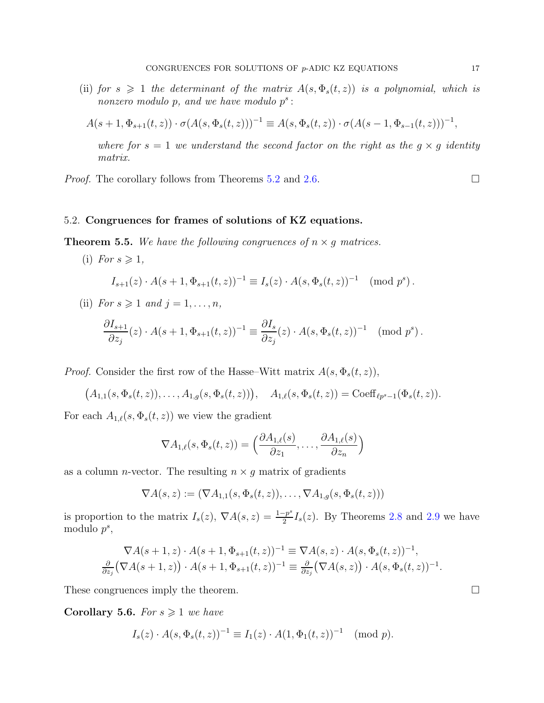(ii) for  $s \geq 1$  the determinant of the matrix  $A(s, \Phi_s(t, z))$  is a polynomial, which is nonzero modulo  $p$ , and we have modulo  $p^s$ :

$$
A(s+1, \Phi_{s+1}(t, z)) \cdot \sigma(A(s, \Phi_s(t, z)))^{-1} \equiv A(s, \Phi_s(t, z)) \cdot \sigma(A(s-1, \Phi_{s-1}(t, z)))^{-1},
$$

where for  $s = 1$  we understand the second factor on the right as the  $g \times g$  identity matrix.

*Proof.* The corollary follows from Theorems [5.2](#page-15-0) and [2.6.](#page-6-0)  $\Box$ 

## <span id="page-16-0"></span>5.2. Congruences for frames of solutions of KZ equations.

# **Theorem 5.5.** We have the following congruences of  $n \times g$  matrices.

(i) For  $s \geqslant 1$ ,  $I_{s+1}(z) \cdot A(s+1, \Phi_{s+1}(t, z))^{-1} \equiv I_s(z) \cdot A(s, \Phi_s(t, z))^{-1} \pmod{p^s}.$ (ii) For  $s \geqslant 1$  and  $j = 1, \ldots, n$ ,  $\partial I_{s+1}$  $\partial z_j$  $(z) \cdot A(s+1, \Phi_{s+1}(t, z))^{-1} \equiv \frac{\partial I_s}{\partial x}$  $\partial z_j$  $(z) \cdot A(s, \Phi_s(t, z))^{-1} \pmod{p^s}.$ 

*Proof.* Consider the first row of the Hasse–Witt matrix  $A(s, \Phi_s(t, z))$ ,

$$
(A_{1,1}(s, \Phi_s(t, z)), \ldots, A_{1,g}(s, \Phi_s(t, z))), \quad A_{1,\ell}(s, \Phi_s(t, z)) = \text{Coeff}_{\ell p^s - 1}(\Phi_s(t, z)).
$$

For each  $A_{1,\ell}(s, \Phi_s(t, z))$  we view the gradient

$$
\nabla A_{1,\ell}(s,\Phi_s(t,z)) = \left(\frac{\partial A_{1,\ell}(s)}{\partial z_1},\ldots,\frac{\partial A_{1,\ell}(s)}{\partial z_n}\right)
$$

as a column *n*-vector. The resulting  $n \times q$  matrix of gradients

$$
\nabla A(s, z) := (\nabla A_{1,1}(s, \Phi_s(t, z)), \dots, \nabla A_{1,g}(s, \Phi_s(t, z)))
$$

is proportion to the matrix  $I_s(z)$ ,  $\nabla A(s, z) = \frac{1-p^s}{2}$  $\frac{2-p}{2}I_s(z)$ . By Theorems [2.8](#page-8-1) and [2.9](#page-9-3) we have modulo  $p^s$ ,

$$
\nabla A(s+1,z) \cdot A(s+1,\Phi_{s+1}(t,z))^{-1} \equiv \nabla A(s,z) \cdot A(s,\Phi_s(t,z))^{-1},
$$
  

$$
\frac{\partial}{\partial z_j} (\nabla A(s+1,z)) \cdot A(s+1,\Phi_{s+1}(t,z))^{-1} \equiv \frac{\partial}{\partial z_j} (\nabla A(s,z)) \cdot A(s,\Phi_s(t,z))^{-1}.
$$

These congruences imply the theorem.

<span id="page-16-1"></span>Corollary 5.6. For  $s \geq 1$  we have

$$
I_s(z) \cdot A(s, \Phi_s(t, z))^{-1} \equiv I_1(z) \cdot A(1, \Phi_1(t, z))^{-1} \pmod{p}.
$$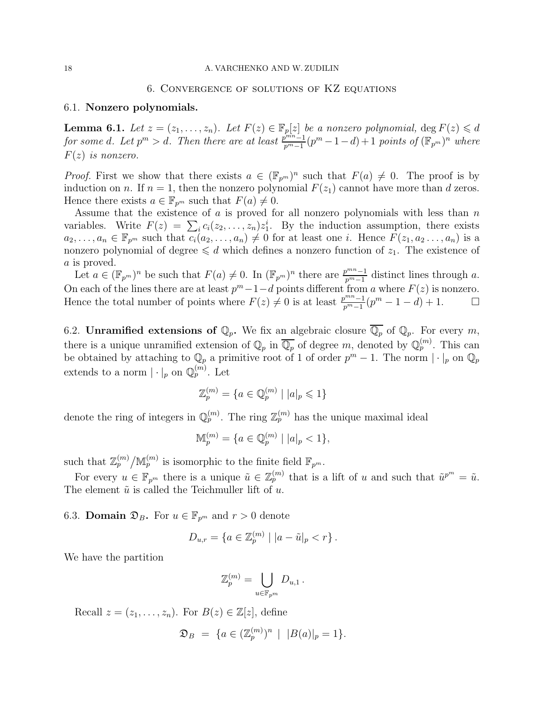## 6. Convergence of solutions of KZ equations

# <span id="page-17-1"></span><span id="page-17-0"></span>6.1. Nonzero polynomials.

<span id="page-17-4"></span>**Lemma 6.1.** Let  $z = (z_1, \ldots, z_n)$ . Let  $F(z) \in \mathbb{F}_p[z]$  be a nonzero polynomial,  $\deg F(z) \leq d$ for some d. Let  $p^m > d$ . Then there are at least  $\frac{p^{mn}-1}{p^m-1}(p^m-1-d)+1$  points of  $(\mathbb{F}_{p^m})^n$  where  $F(z)$  is nonzero.

*Proof.* First we show that there exists  $a \in (\mathbb{F}_{p^m})^n$  such that  $F(a) \neq 0$ . The proof is by induction on n. If  $n = 1$ , then the nonzero polynomial  $F(z_1)$  cannot have more than d zeros. Hence there exists  $a \in \mathbb{F}_{p^m}$  such that  $F(a) \neq 0$ .

Assume that the existence of  $a$  is proved for all nonzero polynomials with less than  $n$ variables. Write  $F(z) = \sum_i c_i(z_2, \ldots, z_n) z_1^i$ . By the induction assumption, there exists  $a_2,\ldots,a_n \in \mathbb{F}_{p^m}$  such that  $c_i(a_2,\ldots,a_n) \neq 0$  for at least one i. Hence  $F(z_1,a_2\ldots,a_n)$  is a nonzero polynomial of degree  $\leq d$  which defines a nonzero function of  $z_1$ . The existence of a is proved.

Let  $a \in (\mathbb{F}_{p^m})^n$  be such that  $F(a) \neq 0$ . In  $(\mathbb{F}_{p^m})^n$  there are  $\frac{p^{mn}-1}{p^m-1}$  distinct lines through a. On each of the lines there are at least  $p^m-1-d$  points different from a where  $F(z)$  is nonzero. Hence the total number of points where  $F(z) \neq 0$  is at least  $\frac{p^{mn}-1}{p^m-1}(p^m-1-d)+1$ .  $\Box$ 

<span id="page-17-2"></span>6.2. **Unramified extensions of**  $\mathbb{Q}_p$ . We fix an algebraic closure  $\overline{\mathbb{Q}_p}$  of  $\mathbb{Q}_p$ . For every m, there is a unique unramified extension of  $\mathbb{Q}_p$  in  $\overline{\mathbb{Q}_p}$  of degree m, denoted by  $\mathbb{Q}_p^{(m)}$ . This can be obtained by attaching to  $\mathbb{Q}_p$  a primitive root of 1 of order  $p^m-1$ . The norm  $|\cdot|_p$  on  $\mathbb{Q}_p$ extends to a norm  $|\cdot|_p$  on  $\mathbb{Q}_p^{(m)}$ . Let

$$
\mathbb{Z}_p^{(m)} = \{ a \in \mathbb{Q}_p^{(m)} \mid |a|_p \leqslant 1 \}
$$

denote the ring of integers in  $\mathbb{Q}_p^{(m)}$ . The ring  $\mathbb{Z}_p^{(m)}$  has the unique maximal ideal

$$
\mathbb{M}_p^{(m)} = \{ a \in \mathbb{Q}_p^{(m)} \mid |a|_p < 1 \},\
$$

such that  $\mathbb{Z}_p^{(m)}/\mathbb{M}_p^{(m)}$  is isomorphic to the finite field  $\mathbb{F}_{p^m}$ .

For every  $u \in \mathbb{F}_{p^m}$  there is a unique  $\tilde{u} \in \mathbb{Z}_p^{(m)}$  that is a lift of u and such that  $\tilde{u}^{p^m} = \tilde{u}$ . The element  $\tilde{u}$  is called the Teichmuller lift of u.

<span id="page-17-3"></span>6.3. **Domain**  $\mathfrak{D}_B$ . For  $u \in \mathbb{F}_{p^m}$  and  $r > 0$  denote

$$
D_{u,r} = \{ a \in \mathbb{Z}_p^{(m)} \mid |a - \tilde{u}|_p < r \} .
$$

We have the partition

$$
\mathbb{Z}_p^{(m)} = \bigcup_{u \in \mathbb{F}_{p^m}} D_{u,1} \, .
$$

Recall  $z = (z_1, \ldots, z_n)$ . For  $B(z) \in \mathbb{Z}[z]$ , define

$$
\mathfrak{D}_B = \{ a \in (\mathbb{Z}_p^{(m)})^n \mid |B(a)|_p = 1 \}.
$$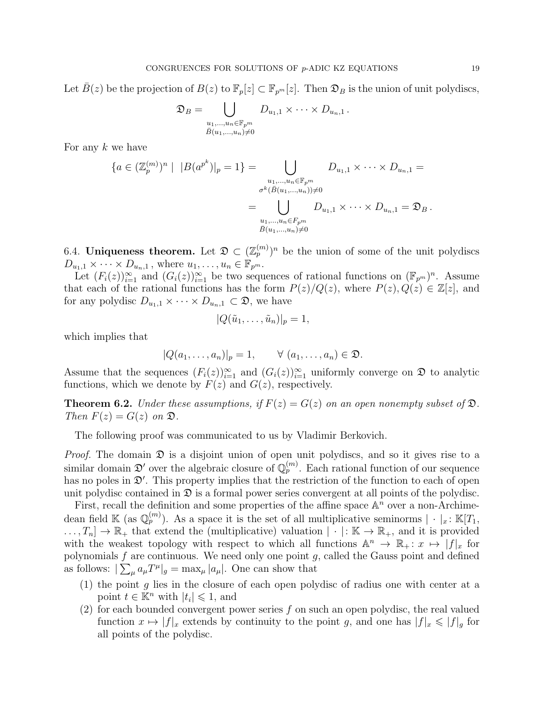Let  $B(z)$  be the projection of  $B(z)$  to  $\mathbb{F}_p[z] \subset \mathbb{F}_{p^m}[z]$ . Then  $\mathfrak{D}_B$  is the union of unit polydiscs,

$$
\mathfrak{D}_B = \bigcup_{\substack{u_1,\ldots,u_n \in \mathbb{F}_{p^m} \\ \bar{B}(u_1,\ldots,u_n) \neq 0}} D_{u_1,1} \times \cdots \times D_{u_n,1}.
$$

For any  $k$  we have

$$
\{a \in (\mathbb{Z}_{p}^{(m)})^{n} \mid |B(a^{p^{k}})|_{p} = 1\} = \bigcup_{\substack{u_{1}, \dots, u_{n} \in \mathbb{F}_{p^{m}} \\ \sigma^{k}(\bar{B}(u_{1}, \dots, u_{n})) \neq 0}} D_{u_{1}, 1} \times \dots \times D_{u_{n}, 1} = \sum_{\substack{u_{1}, \dots, u_{n} \in F_{p^{m}} \\ \bar{B}(u_{1}, \dots, u_{n}) \neq 0}} D_{u_{1}, 1} \times \dots \times D_{u_{n}, 1} = \mathfrak{D}_{B}.
$$

<span id="page-18-0"></span>6.4. Uniqueness theorem. Let  $\mathfrak{D} \subset (\mathbb{Z}_p^{(m)})^n$  be the union of some of the unit polydiscs  $D_{u_1,1} \times \cdots \times D_{u_n,1}$ , where  $u_1, \ldots, u_n \in \mathbb{F}_{p^m}$ .

Let  $(F_i(z))_{i=1}^{\infty}$  and  $(G_i(z))_{i=1}^{\infty}$  be two sequences of rational functions on  $(\mathbb{F}_{p^m})^n$ . Assume that each of the rational functions has the form  $P(z)/Q(z)$ , where  $P(z), Q(z) \in \mathbb{Z}[z]$ , and for any polydisc  $D_{u_1,1} \times \cdots \times D_{u_n,1} \subset \mathfrak{D}$ , we have

$$
|Q(\tilde{u}_1,\ldots,\tilde{u}_n)|_p=1,
$$

which implies that

$$
|Q(a_1,\ldots,a_n)|_p=1, \qquad \forall (a_1,\ldots,a_n)\in\mathfrak{D}.
$$

Assume that the sequences  $(F_i(z))_{i=1}^{\infty}$  and  $(G_i(z))_{i=1}^{\infty}$  uniformly converge on  $\mathfrak D$  to analytic functions, which we denote by  $F(z)$  and  $G(z)$ , respectively.

<span id="page-18-1"></span>**Theorem 6.2.** Under these assumptions, if  $F(z) = G(z)$  on an open nonempty subset of  $\mathfrak{D}$ . Then  $F(z) = G(z)$  on  $\mathfrak{D}$ .

The following proof was communicated to us by Vladimir Berkovich.

*Proof.* The domain  $\mathfrak D$  is a disjoint union of open unit polydiscs, and so it gives rise to a similar domain  $\mathfrak{D}'$  over the algebraic closure of  $\mathbb{Q}_p^{(m)}$ . Each rational function of our sequence has no poles in  $\mathfrak{D}'$ . This property implies that the restriction of the function to each of open unit polydisc contained in  $\mathfrak D$  is a formal power series convergent at all points of the polydisc.

First, recall the definition and some properties of the affine space  $\mathbb{A}^n$  over a non-Archimedean field K (as  $\mathbb{Q}_p^{(m)}$ ). As a space it is the set of all multiplicative seminorms  $|\cdot|_x : \mathbb{K}[T_1,$  $\ldots, T_n] \to \mathbb{R}_+$  that extend the (multiplicative) valuation  $|\cdot|: \mathbb{K} \to \mathbb{R}_+$ , and it is provided with the weakest topology with respect to which all functions  $\mathbb{A}^n \to \mathbb{R}_+$ :  $x \mapsto |f|_x$  for polynomials  $f$  are continuous. We need only one point  $g$ , called the Gauss point and defined as follows:  $\sum_{\mu} a_{\mu} T^{\mu} |_{g} = \max_{\mu} |a_{\mu}|$ . One can show that

- (1) the point  $g$  lies in the closure of each open polydisc of radius one with center at a point  $t \in \mathbb{K}^n$  with  $|t_i| \leq 1$ , and
- (2) for each bounded convergent power series  $f$  on such an open polydisc, the real valued function  $x \mapsto |f|_x$  extends by continuity to the point g, and one has  $|f|_x \leq |f|_g$  for all points of the polydisc.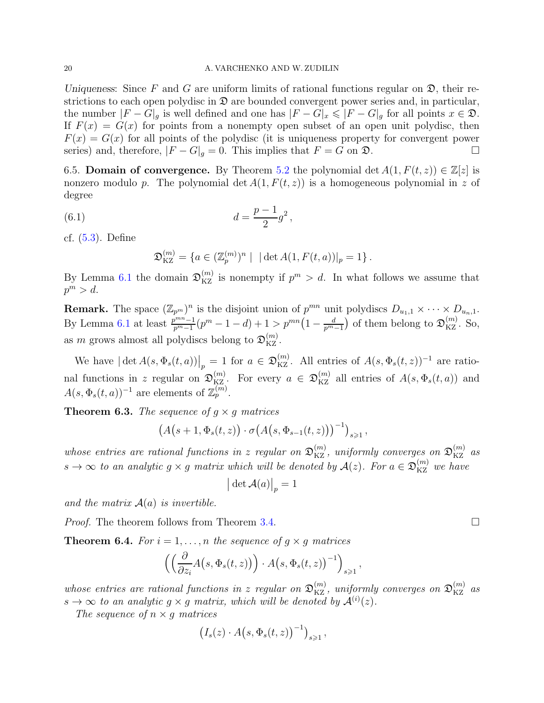### 20 A. VARCHENKO AND W. ZUDILIN

Uniqueness: Since F and G are uniform limits of rational functions regular on  $\mathfrak{D}$ , their restrictions to each open polydisc in  $\mathfrak D$  are bounded convergent power series and, in particular, the number  $|F - G|_g$  is well defined and one has  $|F - G|_x \leq |F - G|_g$  for all points  $x \in \mathfrak{D}$ . If  $F(x) = G(x)$  for points from a nonempty open subset of an open unit polydisc, then  $F(x) = G(x)$  for all points of the polydisc (it is uniqueness property for convergent power series) and, therefore,  $|F - G|_q = 0$ . This implies that  $F = G$  on  $\mathfrak{D}$ .

<span id="page-19-0"></span>6.5. **Domain of convergence.** By Theorem [5.2](#page-15-0) the polynomial det  $A(1, F(t, z)) \in \mathbb{Z}[z]$  is nonzero modulo p. The polynomial det  $A(1, F(t, z))$  is a homogeneous polynomial in z of degree

(6.1) 
$$
d = \frac{p-1}{2}g^2,
$$

cf. [\(5.3\)](#page-15-1). Define

<span id="page-19-2"></span>
$$
\mathfrak{D}_{\mathrm{KZ}}^{(m)} = \{ a \in (\mathbb{Z}_p^{(m)})^n \mid |\det A(1, F(t, a))|_p = 1 \}.
$$

By Lemma [6.1](#page-17-4) the domain  $\mathfrak{D}_{KZ}^{(m)}$  is nonempty if  $p^m > d$ . In what follows we assume that  $p^m > d.$ 

**Remark.** The space  $(\mathbb{Z}_{p^m})^n$  is the disjoint union of  $p^{mn}$  unit polydiscs  $D_{u_1,1} \times \cdots \times D_{u_n,1}$ . By Lemma [6.1](#page-17-4) at least  $\frac{p^{mn}-1}{p^m-1}(p^m-1-d)+1>p^{mn}\left(1-\frac{d}{p^m-1}\right)$  of them belong to  $\mathfrak{D}_{\mathrm{KZ}}^{(m)}$ . So, as m grows almost all polydiscs belong to  $\mathfrak{D}_{\mathrm{KZ}}^{(m)}$ .

We have  $|\det A(s, \Phi_s(t, a))|_p = 1$  for  $a \in \mathfrak{D}_{\text{KZ}}^{(m)}$ . All entries of  $A(s, \Phi_s(t, z))^{-1}$  are rational functions in z regular on  $\mathfrak{D}_{\mathrm{KZ}}^{(m)}$ . For every  $a \in \mathfrak{D}_{\mathrm{KZ}}^{(m)}$  all entries of  $A(s, \Phi_s(t, a))$  and  $A(s, \Phi_s(t, a))^{-1}$  are elements of  $\mathbb{Z}_p^{(m)}$ .

**Theorem 6.3.** The sequence of  $q \times q$  matrices

$$
\big(A\big(s+1,\Phi_s(t,z)\big)\cdot\sigma\big(A\big(s,\Phi_{s-1}(t,z)\big)\big)^{-1}\big)_{s\geqslant 1},
$$

whose entries are rational functions in z regular on  $\mathfrak{D}_{\rm KZ}^{(m)}$ , uniformly converges on  $\mathfrak{D}_{\rm KZ}^{(m)}$  as  $s \to \infty$  to an analytic  $g \times g$  matrix which will be denoted by  $\mathcal{A}(z)$ . For  $a \in \mathfrak{D}_{\mathrm{KZ}}^{(m)}$  we have

$$
\big|\det \mathcal{A}(a)\big|_p=1
$$

and the matrix  $A(a)$  is invertible.

Proof. The theorem follows from Theorem [3.4.](#page-11-4)

<span id="page-19-1"></span>**Theorem 6.4.** For  $i = 1, ..., n$  the sequence of  $g \times g$  matrices

$$
\left(\left(\frac{\partial}{\partial z_i}A\big(s,\Phi_s(t,z)\big)\right)\cdot A\big(s,\Phi_s(t,z)\big)^{-1}\right)_{s\geqslant 1},
$$

whose entries are rational functions in z regular on  $\mathfrak{D}_{KZ}^{(m)}$ , uniformly converges on  $\mathfrak{D}_{KZ}^{(m)}$  as  $s \to \infty$  to an analytic  $g \times g$  matrix, which will be denoted by  $\mathcal{A}^{(i)}(z)$ .

The sequence of  $n \times g$  matrices

$$
\big(I_s(z)\cdot A\big(s,\Phi_s(t,z)\big)^{-1}\big)_{s\geqslant 1}\,,
$$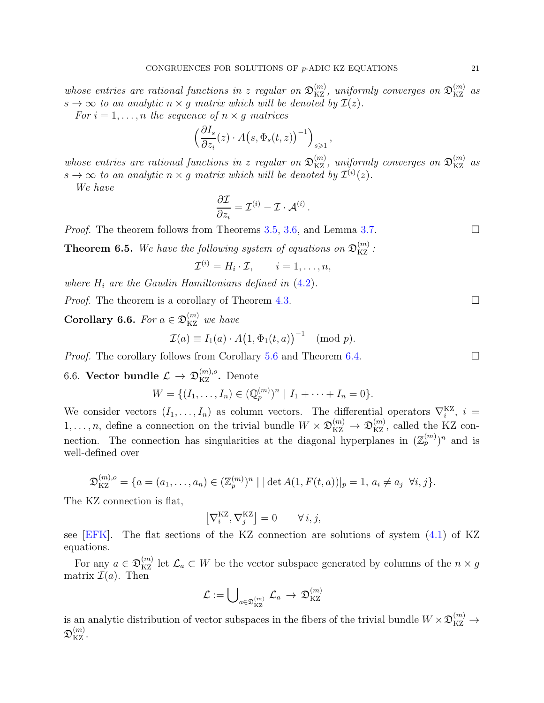whose entries are rational functions in z regular on  $\mathfrak{D}_{\rm KZ}^{(m)}$ , uniformly converges on  $\mathfrak{D}_{\rm KZ}^{(m)}$  as  $s \to \infty$  to an analytic  $n \times g$  matrix which will be denoted by  $\mathcal{I}(z)$ .

For  $i = 1, \ldots, n$  the sequence of  $n \times g$  matrices

$$
\left(\frac{\partial I_s}{\partial z_i}(z) \cdot A\big(s, \Phi_s(t, z)\big)^{-1}\right)_{s \geqslant 1},
$$

whose entries are rational functions in z regular on  $\mathfrak{D}_{KZ}^{(m)}$ , uniformly converges on  $\mathfrak{D}_{KZ}^{(m)}$  as  $s \to \infty$  to an analytic  $n \times g$  matrix which will be denoted by  $\mathcal{I}^{(i)}(z)$ .

We have

$$
\frac{\partial \mathcal{I}}{\partial z_i} = \mathcal{I}^{(i)} - \mathcal{I} \cdot \mathcal{A}^{(i)}.
$$

*Proof.* The theorem follows from Theorems [3.5,](#page-11-2) [3.6,](#page-11-3) and Lemma [3.7.](#page-11-5)

**Theorem 6.5.** We have the following system of equations on  $\mathfrak{D}_{\mathrm{KZ}}^{(m)}$ :

$$
\mathcal{I}^{(i)} = H_i \cdot \mathcal{I}, \qquad i = 1, \dots, n,
$$

where  $H_i$  are the Gaudin Hamiltonians defined in  $(4.2)$ .

*Proof.* The theorem is a corollary of Theorem [4.3.](#page-14-3)

<span id="page-20-1"></span>**Corollary 6.6.** For  $a \in \mathfrak{D}_{\mathrm{KZ}}^{(m)}$  we have

$$
\mathcal{I}(a) \equiv I_1(a) \cdot A(1, \Phi_1(t, a))^{-1} \pmod{p}.
$$

<span id="page-20-0"></span>*Proof.* The corollary follows from Corollary [5.6](#page-16-1) and Theorem [6.4.](#page-19-1)  $\Box$ 

6.6. Vector bundle  $\mathcal{L} \rightarrow \mathfrak{D}_{\mathrm{KZ}}^{(m),o}$ . Denote

$$
W = \{ (I_1, \ldots, I_n) \in (\mathbb{Q}_p^{(m)})^n \mid I_1 + \cdots + I_n = 0 \}.
$$

We consider vectors  $(I_1, \ldots, I_n)$  as column vectors. The differential operators  $\nabla_i^{KZ}$ ,  $i =$  $1, \ldots, n$ , define a connection on the trivial bundle  $W \times \mathfrak{D}_{\mathrm{KZ}}^{(m)} \to \mathfrak{D}_{\mathrm{KZ}}^{(m)}$ , called the KZ connection. The connection has singularities at the diagonal hyperplanes in  $(\mathbb{Z}_p^{(m)})^n$  and is well-defined over

$$
\mathfrak{D}_{\mathrm{KZ}}^{(m),o} = \{a = (a_1, \ldots, a_n) \in (\mathbb{Z}_p^{(m)})^n \mid |\det A(1, F(t, a))|_p = 1, a_i \neq a_j \ \forall i, j\}.
$$

The KZ connection is flat,

$$
\left[\nabla_i^{\mathrm{KZ}}, \nabla_j^{\mathrm{KZ}}\right] = 0 \qquad \forall i, j,
$$

see  $\overline{EFK}$ . The flat sections of the KZ connection are solutions of system  $(4.1)$  of KZ equations.

For any  $a \in \mathfrak{D}_{\mathrm{KZ}}^{(m)}$  let  $\mathcal{L}_a \subset W$  be the vector subspace generated by columns of the  $n \times g$ matrix  $\mathcal{I}(a)$ . Then

$$
\mathcal{L}:=\bigcup\nolimits_{a\in\mathfrak{D}_{\mathrm{KZ}}^{(m)}}\mathcal{L}_{a}\,\to\,\mathfrak{D}_{\mathrm{KZ}}^{(m)}
$$

is an analytic distribution of vector subspaces in the fibers of the trivial bundle  $W \times \mathfrak{D}_{KZ}^{(m)} \to$  $\mathfrak{D}_{\mathrm{KZ}}^{(m)}.$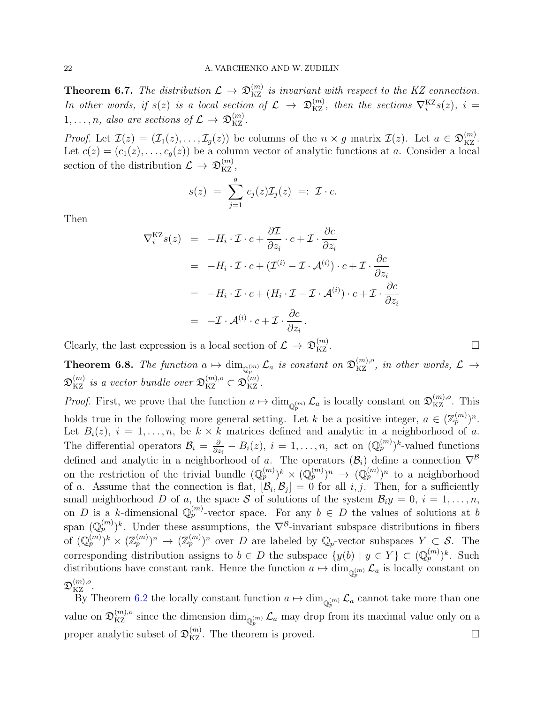<span id="page-21-0"></span>**Theorem 6.7.** The distribution  $\mathcal{L} \to \mathfrak{D}_{KZ}^{(m)}$  is invariant with respect to the KZ connection. In other words, if  $s(z)$  is a local section of  $\mathcal{L} \to \mathfrak{D}_{KZ}^{(m)}$ , then the sections  $\nabla_i^{KZ}s(z)$ ,  $i=$  $1, \ldots, n$ , also are sections of  $\mathcal{L} \rightarrow \mathfrak{D}_{\mathrm{KZ}}^{(m)}$ .

*Proof.* Let  $\mathcal{I}(z) = (\mathcal{I}_1(z), \ldots, \mathcal{I}_g(z))$  be columns of the  $n \times g$  matrix  $\mathcal{I}(z)$ . Let  $a \in \mathfrak{D}_{\mathrm{KZ}}^{(m)}$ . Let  $c(z) = (c_1(z), \ldots, c_q(z))$  be a column vector of analytic functions at a. Consider a local section of the distribution  $\mathcal{L} \rightarrow \mathfrak{D}_{\mathrm{KZ}}^{(m)}$ ,

$$
s(z) = \sum_{j=1}^{g} c_j(z) \mathcal{I}_j(z) =: \mathcal{I} \cdot c.
$$

Then

$$
\nabla_i^{KZ} s(z) = -H_i \cdot \mathcal{I} \cdot c + \frac{\partial \mathcal{I}}{\partial z_i} \cdot c + \mathcal{I} \cdot \frac{\partial c}{\partial z_i}
$$
  
\n
$$
= -H_i \cdot \mathcal{I} \cdot c + (\mathcal{I}^{(i)} - \mathcal{I} \cdot \mathcal{A}^{(i)}) \cdot c + \mathcal{I} \cdot \frac{\partial c}{\partial z_i}
$$
  
\n
$$
= -H_i \cdot \mathcal{I} \cdot c + (H_i \cdot \mathcal{I} - \mathcal{I} \cdot \mathcal{A}^{(i)}) \cdot c + \mathcal{I} \cdot \frac{\partial c}{\partial z_i}
$$
  
\n
$$
= -\mathcal{I} \cdot \mathcal{A}^{(i)} \cdot c + \mathcal{I} \cdot \frac{\partial c}{\partial z_i}.
$$

Clearly, the last expression is a local section of  $\mathcal{L} \to \mathfrak{D}_{\mathrm{KZ}}^{(m)}$  $KZ$  .

**Theorem 6.8.** The function  $a \mapsto \dim_{\mathbb{Q}_p^{(m)}} \mathcal{L}_a$  is constant on  $\mathfrak{D}_{\mathrm{KZ}}^{(m),o}$ , in other words,  $\mathcal{L} \to$  $\mathfrak{D}_{\rm KZ}^{(m)}$  is a vector bundle over  $\mathfrak{D}_{\rm KZ}^{(m),o}\subset \mathfrak{D}_{\rm KZ}^{(m)}$ .

*Proof.* First, we prove that the function  $a \mapsto \dim_{\mathbb{Q}_p^{(m)}} \mathcal{L}_a$  is locally constant on  $\mathfrak{D}_{\mathrm{KZ}}^{(m),o}$ . This holds true in the following more general setting. Let k be a positive integer,  $a \in (\mathbb{Z}_p^{(m)})^n$ . Let  $B_i(z)$ ,  $i = 1, \ldots, n$ , be  $k \times \tilde{k}$  matrices defined and analytic in a neighborhood of a. The differential operators  $\mathcal{B}_i = \frac{\partial}{\partial z_i}$  $\frac{\partial}{\partial z_i} - B_i(z), i = 1, \ldots, n$ , act on  $(\mathbb{Q}_p^{(m)})^k$ -valued functions defined and analytic in a neighborhood of a. The operators  $(\mathcal{B}_i)$  define a connection  $\nabla^{\mathcal{B}}$ on the restriction of the trivial bundle  $(\mathbb{Q}_p^{(m)})^k \times (\mathbb{Q}_p^{(m)})^n \to (\mathbb{Q}_p^{(m)})^n$  to a neighborhood of a. Assume that the connection is flat,  $[\mathcal{B}_i, \mathcal{B}_j] = 0$  for all i, j. Then, for a sufficiently small neighborhood D of a, the space S of solutions of the system  $\mathcal{B}_i y = 0, i = 1, \ldots, n$ , on D is a k-dimensional  $\mathbb{Q}_p^{(m)}$ -vector space. For any  $b \in D$  the values of solutions at b span  $(\mathbb{Q}_p^{(m)})^k$ . Under these assumptions, the  $\nabla^{\mathcal{B}}$ -invariant subspace distributions in fibers of  $(\mathbb{Q}_p^{(m)})^k \times (\mathbb{Z}_p^{(m)})^n \to (\mathbb{Z}_p^{(m)})^n$  over D are labeled by  $\mathbb{Q}_p$ -vector subspaces  $Y \subset \mathcal{S}$ . The corresponding distribution assigns to  $b \in D$  the subspace  $\{y(b) | y \in Y\} \subset (\mathbb{Q}_p^{(m)})^k$ . Such distributions have constant rank. Hence the function  $a \mapsto \dim_{\mathbb{Q}_p^{(m)}} \mathcal{L}_a$  is locally constant on  $\mathfrak{D}_{\mathrm{KZ}}^{(m),o}.$ 

By Theorem [6.2](#page-18-1) the locally constant function  $a \mapsto \dim_{\mathbb{Q}_p^{(m)}} \mathcal{L}_a$  cannot take more than one value on  $\mathfrak{D}_{\mathrm{KZ}}^{(m),o}$  since the dimension  $\dim_{\mathbb{Q}_p^{(m)}}\mathcal{L}_a$  may drop from its maximal value only on a proper analytic subset of  $\mathfrak{D}_{\mathrm{KZ}}^{(m)}$ . The theorem is proved.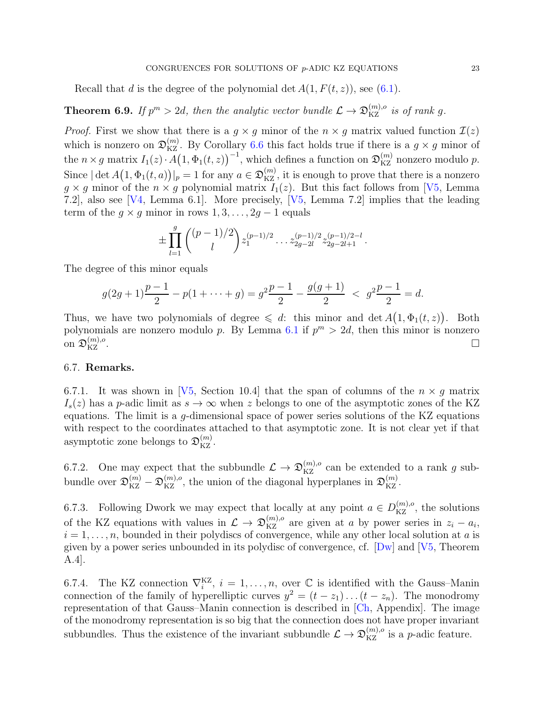Recall that d is the degree of the polynomial det  $A(1, F(t, z))$ , see [\(6.1\)](#page-19-2).

<span id="page-22-1"></span>**Theorem 6.9.** If  $p^m > 2d$ , then the analytic vector bundle  $\mathcal{L} \to \mathfrak{D}_{\mathrm{KZ}}^{(m),o}$  is of rank g.

*Proof.* First we show that there is a  $g \times g$  minor of the  $n \times g$  matrix valued function  $\mathcal{I}(z)$ which is nonzero on  $\mathfrak{D}_{\mathrm{KZ}}^{(m)}$ . By Corollary [6.6](#page-20-1) this fact holds true if there is a  $g \times g$  minor of the  $n \times g$  matrix  $I_1(z) \cdot A(1, \Phi_1(t, z))^{-1}$ , which defines a function on  $\mathfrak{D}_{\mathrm{KZ}}^{(m)}$  nonzero modulo p. Since  $|\det A(1, \Phi_1(t, a))|_p = 1$  for any  $a \in \mathfrak{D}_{\text{KZ}}^{(m)}$ , it is enough to prove that there is a nonzero  $g \times g$  minor of the  $n \times g$  polynomial matrix  $I_1(z)$ . But this fact follows from [\[V5,](#page-24-0) Lemma 7.2], also see [\[V4,](#page-24-3) Lemma 6.1]. More precisely, [\[V5,](#page-24-0) Lemma 7.2] implies that the leading term of the  $g \times g$  minor in rows  $1, 3, \ldots, 2g - 1$  equals

$$
\pm \prod_{l=1}^g \binom{(p-1)/2}{l} z_1^{(p-1)/2} \dots z_{2g-2l}^{(p-1)/2} z_{2g-2l+1}^{(p-1)/2-l}.
$$

The degree of this minor equals

$$
g(2g+1)\frac{p-1}{2} - p(1 + \dots + g) = g^2 \frac{p-1}{2} - \frac{g(g+1)}{2} < g^2 \frac{p-1}{2} = d.
$$

Thus, we have two polynomials of degree  $\leq d$ : this minor and det  $A(1, \Phi_1(t, z))$ . Both polynomials are nonzero modulo p. By Lemma [6.1](#page-17-4) if  $p^m > 2d$ , then this minor is nonzero on  $\mathfrak{D}_{\mathrm{KZ}}^{(m),o}$  $\Box$ <br>KZ  $\cdot$ 

## <span id="page-22-0"></span>6.7. Remarks.

6.7.1. It was shown in [\[V5,](#page-24-0) Section 10.4] that the span of columns of the  $n \times q$  matrix  $I_s(z)$  has a p-adic limit as  $s \to \infty$  when z belongs to one of the asymptotic zones of the KZ equations. The limit is a g-dimensional space of power series solutions of the KZ equations with respect to the coordinates attached to that asymptotic zone. It is not clear yet if that asymptotic zone belongs to  $\mathfrak{D}^{(m)}_{\mathrm{KZ}}$ .

6.7.2. One may expect that the subbundle  $\mathcal{L} \to \mathfrak{D}_{\mathrm{KZ}}^{(m),o}$  can be extended to a rank g subbundle over  $\mathfrak{D}_{\mathrm{KZ}}^{(m)} - \mathfrak{D}_{\mathrm{KZ}}^{(m),o}$ , the union of the diagonal hyperplanes in  $\mathfrak{D}_{\mathrm{KZ}}^{(m)}$ .

6.7.3. Following Dwork we may expect that locally at any point  $a \in D_{\text{KZ}}^{(m),o}$ , the solutions of the KZ equations with values in  $\mathcal{L} \to \mathfrak{D}_{KZ}^{(m),o}$  are given at a by power series in  $z_i - a_i$ ,  $i = 1, \ldots, n$ , bounded in their polydiscs of convergence, while any other local solution at a is given by a power series unbounded in its polydisc of convergence, cf.  $[Dw]$  and  $[V5, Theorem]$ A.4].

6.7.4. The KZ connection  $\nabla_i^{KZ}$ ,  $i = 1, \ldots, n$ , over  $\mathbb C$  is identified with the Gauss-Manin connection of the family of hyperelliptic curves  $y^2 = (t - z_1) \dots (t - z_n)$ . The monodromy representation of that Gauss–Manin connection is described in [\[Ch,](#page-23-15) Appendix]. The image of the monodromy representation is so big that the connection does not have proper invariant subbundles. Thus the existence of the invariant subbundle  $\mathcal{L} \to \mathfrak{D}_{\mathrm{KZ}}^{(m),o}$  is a *p*-adic feature.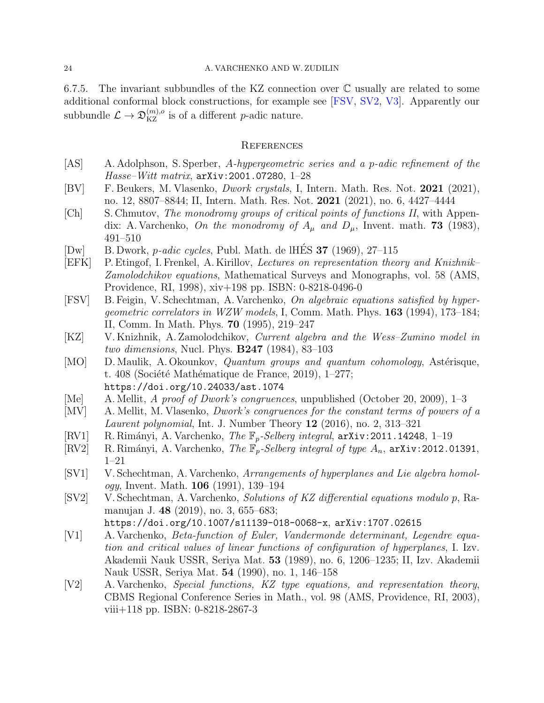6.7.5. The invariant subbundles of the KZ connection over C usually are related to some additional conformal block constructions, for example see [\[FSV,](#page-23-16) [SV2,](#page-23-9) [V3\]](#page-24-4). Apparently our subbundle  $\mathcal{L} \to \mathfrak{D}_{\mathrm{KZ}}^{(m),o}$  is of a different *p*-adic nature.

## <span id="page-23-0"></span>**REFERENCES**

- <span id="page-23-2"></span>[AS] A. Adolphson, S. Sperber, A-hypergeometric series and a p-adic refinement of the  $Hasse-Witt$  matrix,  $arXiv:2001.07280, 1-28$
- <span id="page-23-3"></span>[BV] F. Beukers, M. Vlasenko, Dwork crystals, I, Intern. Math. Res. Not. 2021 (2021), no. 12, 8807–8844; II, Intern. Math. Res. Not. 2021 (2021), no. 6, 4427–4444
- <span id="page-23-15"></span>[Ch] S. Chmutov, The monodromy groups of critical points of functions II, with Appendix: A. Varchenko, On the monodromy of  $A_\mu$  and  $D_\mu$ , Invent. math. **73** (1983), 491–510
- <span id="page-23-1"></span>[Dw] B. Dwork, *p-adic cycles*, Publ. Math. de lHÉS  $37$  (1969), 27–115
- <span id="page-23-5"></span>[EFK] P. Etingof, I. Frenkel, A. Kirillov, Lectures on representation theory and Knizhnik– Zamolodchikov equations, Mathematical Surveys and Monographs, vol. 58 (AMS, Providence, RI, 1998), xiv+198 pp. ISBN: 0-8218-0496-0
- <span id="page-23-16"></span>[FSV] B. Feigin, V. Schechtman, A. Varchenko, On algebraic equations satisfied by hypergeometric correlators in WZW models, I, Comm. Math. Phys. 163 (1994), 173–184; II, Comm. In Math. Phys. 70 (1995), 219–247
- <span id="page-23-4"></span>[KZ] V. Knizhnik, A. Zamolodchikov, Current algebra and the Wess–Zumino model in two dimensions, Nucl. Phys. B247 (1984), 83–103
- <span id="page-23-6"></span>[MO] D. Maulik, A. Okounkov, *Quantum groups and quantum cohomology*, Astérisque, t. 408 (Société Mathématique de France, 2019), 1–277; https://doi.org/10.24033/ast.1074
- <span id="page-23-12"></span>[Me] A. Mellit, A proof of Dwork's congruences, unpublished (October 20, 2009), 1–3
- <span id="page-23-13"></span>[MV] A. Mellit, M. Vlasenko, Dwork's congruences for the constant terms of powers of a *Laurent polynomial*, Int. J. Number Theory  $12$  (2016), no. 2, 313–321
- <span id="page-23-10"></span>[RV1] R. Rimányi, A. Varchenko, *The*  $\mathbb{F}_p$ -*Selberg integral*,  $\arXiv:2011.14248$ , 1–19
- <span id="page-23-11"></span>[RV2] R. Rimányi, A. Varchenko, *The*  $\mathbb{F}_p$ -*Selberg integral of type*  $A_n$ , arXiv:2012.01391, 1–21
- <span id="page-23-7"></span>[SV1] V. Schechtman, A. Varchenko, Arrangements of hyperplanes and Lie algebra homol*ogy*, Invent. Math. **106** (1991), 139–194
- <span id="page-23-9"></span>[SV2] V. Schechtman, A. Varchenko, Solutions of KZ differential equations modulo p, Ramanujan J. 48 (2019), no. 3, 655–683; https://doi.org/10.1007/s11139-018-0068-x, arXiv:1707.02615
- <span id="page-23-14"></span>[V1] A. Varchenko, Beta-function of Euler, Vandermonde determinant, Legendre equation and critical values of linear functions of configuration of hyperplanes, I. Izv. Akademii Nauk USSR, Seriya Mat. 53 (1989), no. 6, 1206–1235; II, Izv. Akademii

Nauk USSR, Seriya Mat. 54 (1990), no. 1, 146–158

<span id="page-23-8"></span>[V2] A. Varchenko, Special functions, KZ type equations, and representation theory, CBMS Regional Conference Series in Math., vol. 98 (AMS, Providence, RI, 2003), viii+118 pp. ISBN: 0-8218-2867-3